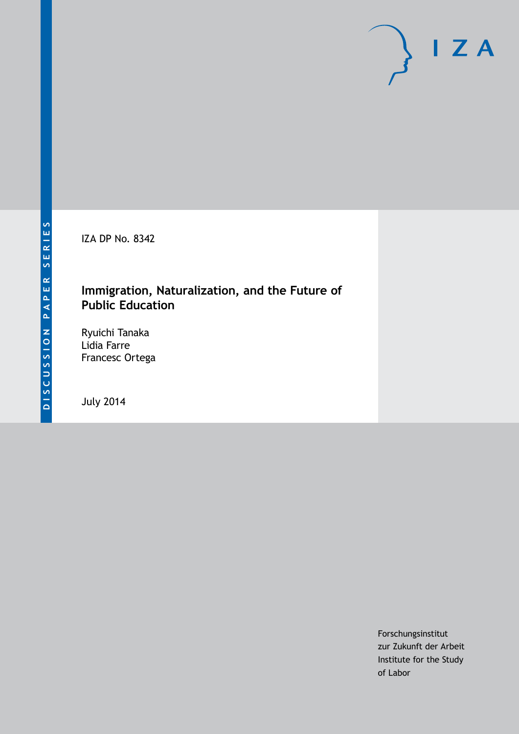IZA DP No. 8342

## **Immigration, Naturalization, and the Future of Public Education**

Ryuichi Tanaka Lidia Farre Francesc Ortega

July 2014

Forschungsinstitut zur Zukunft der Arbeit Institute for the Study of Labor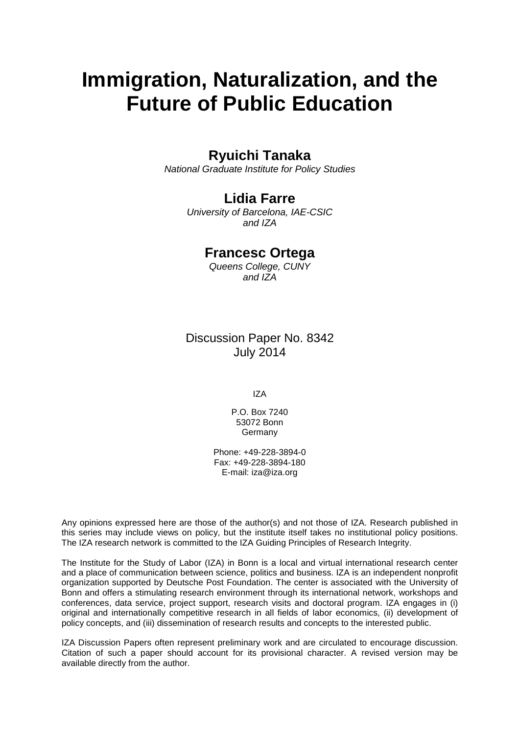# **Immigration, Naturalization, and the Future of Public Education**

## **Ryuichi Tanaka**

*National Graduate Institute for Policy Studies*

## **Lidia Farre**

*University of Barcelona, IAE-CSIC and IZA*

## **Francesc Ortega**

*Queens College, CUNY and IZA*

Discussion Paper No. 8342 July 2014

IZA

P.O. Box 7240 53072 Bonn Germany

Phone: +49-228-3894-0 Fax: +49-228-3894-180 E-mail: [iza@iza.org](mailto:iza@iza.org)

Any opinions expressed here are those of the author(s) and not those of IZA. Research published in this series may include views on policy, but the institute itself takes no institutional policy positions. The IZA research network is committed to the IZA Guiding Principles of Research Integrity.

The Institute for the Study of Labor (IZA) in Bonn is a local and virtual international research center and a place of communication between science, politics and business. IZA is an independent nonprofit organization supported by Deutsche Post Foundation. The center is associated with the University of Bonn and offers a stimulating research environment through its international network, workshops and conferences, data service, project support, research visits and doctoral program. IZA engages in (i) original and internationally competitive research in all fields of labor economics, (ii) development of policy concepts, and (iii) dissemination of research results and concepts to the interested public.

<span id="page-1-0"></span>IZA Discussion Papers often represent preliminary work and are circulated to encourage discussion. Citation of such a paper should account for its provisional character. A revised version may be available directly from the author.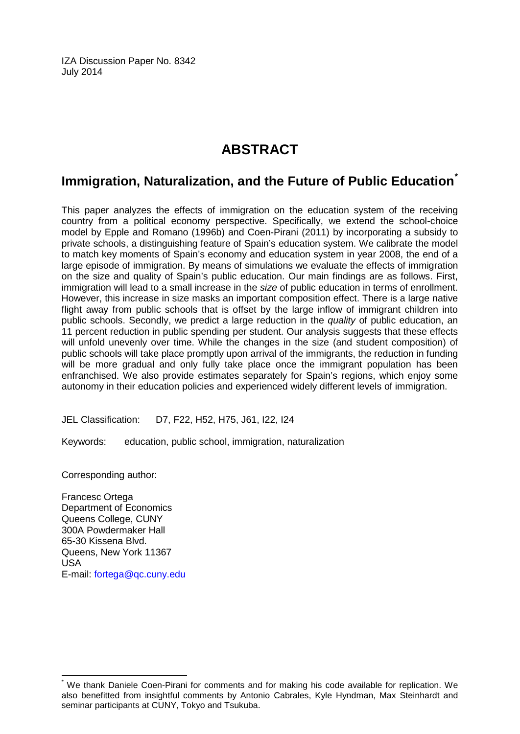IZA Discussion Paper No. 8342 July 2014

## **ABSTRACT**

## **Immigration, Naturalization, and the Future of Public Education[\\*](#page-1-0)**

This paper analyzes the effects of immigration on the education system of the receiving country from a political economy perspective. Specifically, we extend the school-choice model by Epple and Romano (1996b) and Coen-Pirani (2011) by incorporating a subsidy to private schools, a distinguishing feature of Spain's education system. We calibrate the model to match key moments of Spain's economy and education system in year 2008, the end of a large episode of immigration. By means of simulations we evaluate the effects of immigration on the size and quality of Spain's public education. Our main findings are as follows. First, immigration will lead to a small increase in the *size* of public education in terms of enrollment. However, this increase in size masks an important composition effect. There is a large native flight away from public schools that is offset by the large inflow of immigrant children into public schools. Secondly, we predict a large reduction in the *quality* of public education, an 11 percent reduction in public spending per student. Our analysis suggests that these effects will unfold unevenly over time. While the changes in the size (and student composition) of public schools will take place promptly upon arrival of the immigrants, the reduction in funding will be more gradual and only fully take place once the immigrant population has been enfranchised. We also provide estimates separately for Spain's regions, which enjoy some autonomy in their education policies and experienced widely different levels of immigration.

JEL Classification: D7, F22, H52, H75, J61, I22, I24

Keywords: education, public school, immigration, naturalization

Corresponding author:

Francesc Ortega Department of Economics Queens College, CUNY 300A Powdermaker Hall 65-30 Kissena Blvd. Queens, New York 11367 USA E-mail: [fortega@qc.cuny.edu](mailto:fortega@qc.cuny.edu)

We thank Daniele Coen-Pirani for comments and for making his code available for replication. We also benefitted from insightful comments by Antonio Cabrales, Kyle Hyndman, Max Steinhardt and seminar participants at CUNY, Tokyo and Tsukuba.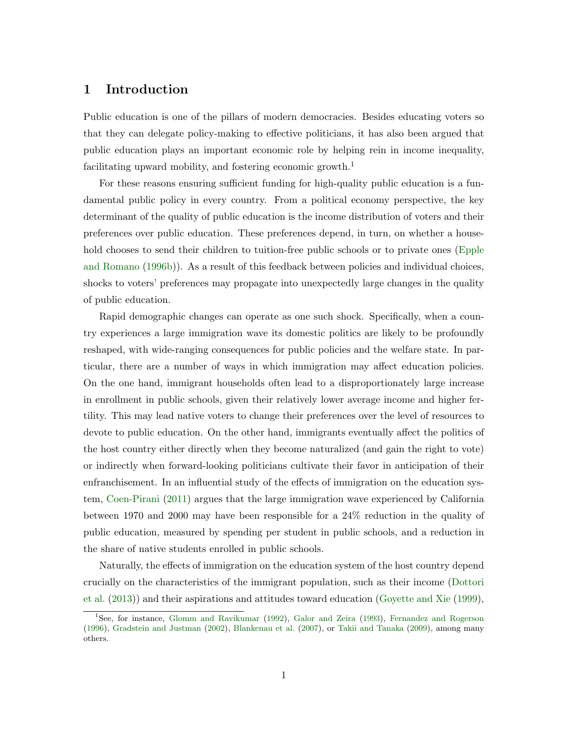## 1 Introduction

Public education is one of the pillars of modern democracies. Besides educating voters so that they can delegate policy-making to effective politicians, it has also been argued that public education plays an important economic role by helping rein in income inequality, facilitating upward mobility, and fostering economic growth.<sup>1</sup>

For these reasons ensuring sufficient funding for high-quality public education is a fundamental public policy in every country. From a political economy perspective, the key determinant of the quality of public education is the income distribution of voters and their preferences over public education. These preferences depend, in turn, on whether a household chooses to send their children to tuition-free public schools or to private ones [\(Epple](#page-37-0) [and Romano](#page-37-0) [\(1996b\)](#page-37-0)). As a result of this feedback between policies and individual choices, shocks to voters' preferences may propagate into unexpectedly large changes in the quality of public education.

Rapid demographic changes can operate as one such shock. Specifically, when a country experiences a large immigration wave its domestic politics are likely to be profoundly reshaped, with wide-ranging consequences for public policies and the welfare state. In particular, there are a number of ways in which immigration may affect education policies. On the one hand, immigrant households often lead to a disproportionately large increase in enrollment in public schools, given their relatively lower average income and higher fertility. This may lead native voters to change their preferences over the level of resources to devote to public education. On the other hand, immigrants eventually affect the politics of the host country either directly when they become naturalized (and gain the right to vote) or indirectly when forward-looking politicians cultivate their favor in anticipation of their enfranchisement. In an influential study of the effects of immigration on the education system, [Coen-Pirani](#page-36-0) [\(2011\)](#page-36-0) argues that the large immigration wave experienced by California between 1970 and 2000 may have been responsible for a 24% reduction in the quality of public education, measured by spending per student in public schools, and a reduction in the share of native students enrolled in public schools.

Naturally, the effects of immigration on the education system of the host country depend crucially on the characteristics of the immigrant population, such as their income [\(Dottori](#page-36-1) [et al.](#page-36-1) [\(2013\)](#page-36-1)) and their aspirations and attitudes toward education [\(Goyette and Xie](#page-37-1) [\(1999\)](#page-37-1),

<sup>1</sup>See, for instance, [Glomm and Ravikumar](#page-37-2) [\(1992\)](#page-37-2), [Galor and Zeira](#page-37-3) [\(1993\)](#page-37-3), [Fernandez and Rogerson](#page-37-4) [\(1996\)](#page-37-4), [Gradstein and Justman](#page-37-5) [\(2002\)](#page-37-5), [Blankenau et al.](#page-36-2) [\(2007\)](#page-36-2), or [Takii and Tanaka](#page-37-6) [\(2009\)](#page-37-6), among many others.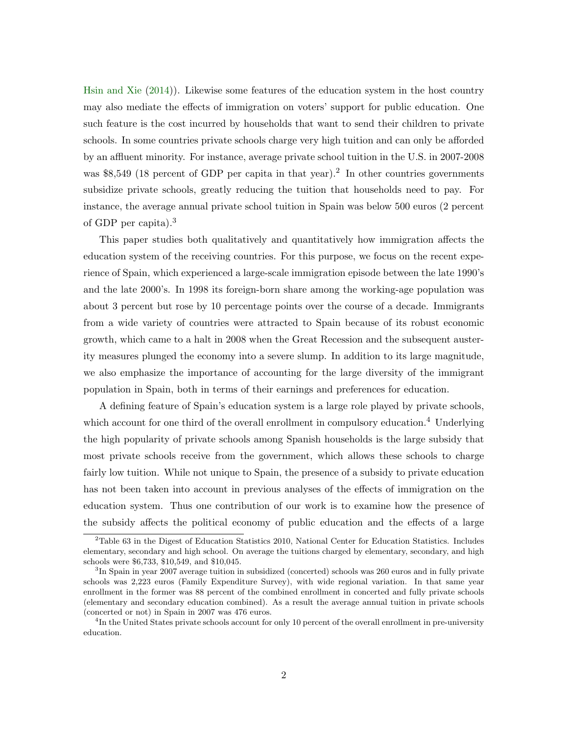[Hsin and Xie](#page-37-7) [\(2014\)](#page-37-7)). Likewise some features of the education system in the host country may also mediate the effects of immigration on voters' support for public education. One such feature is the cost incurred by households that want to send their children to private schools. In some countries private schools charge very high tuition and can only be afforded by an affluent minority. For instance, average private school tuition in the U.S. in 2007-2008 was \$8,549 (18 percent of GDP per capita in that year).<sup>2</sup> In other countries governments subsidize private schools, greatly reducing the tuition that households need to pay. For instance, the average annual private school tuition in Spain was below 500 euros (2 percent of GDP per capita).<sup>3</sup>

This paper studies both qualitatively and quantitatively how immigration affects the education system of the receiving countries. For this purpose, we focus on the recent experience of Spain, which experienced a large-scale immigration episode between the late 1990's and the late 2000's. In 1998 its foreign-born share among the working-age population was about 3 percent but rose by 10 percentage points over the course of a decade. Immigrants from a wide variety of countries were attracted to Spain because of its robust economic growth, which came to a halt in 2008 when the Great Recession and the subsequent austerity measures plunged the economy into a severe slump. In addition to its large magnitude, we also emphasize the importance of accounting for the large diversity of the immigrant population in Spain, both in terms of their earnings and preferences for education.

A defining feature of Spain's education system is a large role played by private schools, which account for one third of the overall enrollment in compulsory education.<sup>4</sup> Underlying the high popularity of private schools among Spanish households is the large subsidy that most private schools receive from the government, which allows these schools to charge fairly low tuition. While not unique to Spain, the presence of a subsidy to private education has not been taken into account in previous analyses of the effects of immigration on the education system. Thus one contribution of our work is to examine how the presence of the subsidy affects the political economy of public education and the effects of a large

<sup>2</sup>Table 63 in the Digest of Education Statistics 2010, National Center for Education Statistics. Includes elementary, secondary and high school. On average the tuitions charged by elementary, secondary, and high schools were \$6,733, \$10,549, and \$10,045.

<sup>&</sup>lt;sup>3</sup>In Spain in year 2007 average tuition in subsidized (concerted) schools was 260 euros and in fully private schools was 2,223 euros (Family Expenditure Survey), with wide regional variation. In that same year enrollment in the former was 88 percent of the combined enrollment in concerted and fully private schools (elementary and secondary education combined). As a result the average annual tuition in private schools (concerted or not) in Spain in 2007 was 476 euros.

<sup>&</sup>lt;sup>4</sup>In the United States private schools account for only 10 percent of the overall enrollment in pre-university education.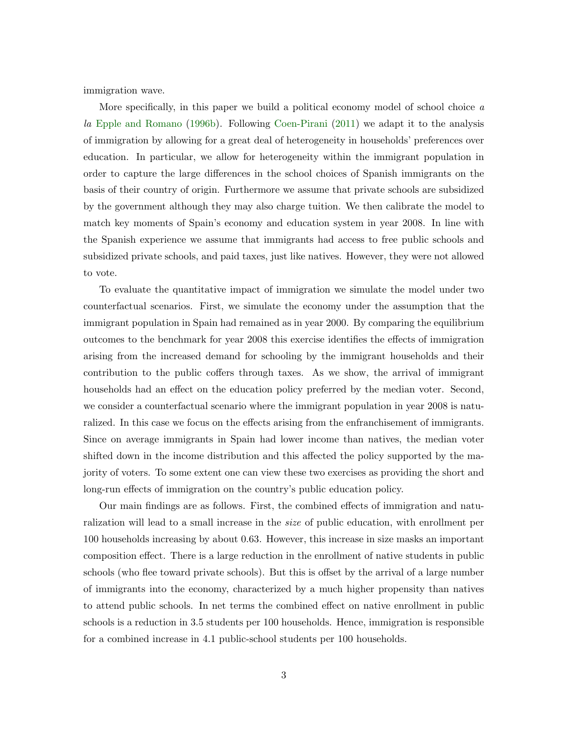immigration wave.

More specifically, in this paper we build a political economy model of school choice a la [Epple and Romano](#page-37-0) [\(1996b\)](#page-37-0). Following [Coen-Pirani](#page-36-0) [\(2011\)](#page-36-0) we adapt it to the analysis of immigration by allowing for a great deal of heterogeneity in households' preferences over education. In particular, we allow for heterogeneity within the immigrant population in order to capture the large differences in the school choices of Spanish immigrants on the basis of their country of origin. Furthermore we assume that private schools are subsidized by the government although they may also charge tuition. We then calibrate the model to match key moments of Spain's economy and education system in year 2008. In line with the Spanish experience we assume that immigrants had access to free public schools and subsidized private schools, and paid taxes, just like natives. However, they were not allowed to vote.

To evaluate the quantitative impact of immigration we simulate the model under two counterfactual scenarios. First, we simulate the economy under the assumption that the immigrant population in Spain had remained as in year 2000. By comparing the equilibrium outcomes to the benchmark for year 2008 this exercise identifies the effects of immigration arising from the increased demand for schooling by the immigrant households and their contribution to the public coffers through taxes. As we show, the arrival of immigrant households had an effect on the education policy preferred by the median voter. Second, we consider a counterfactual scenario where the immigrant population in year 2008 is naturalized. In this case we focus on the effects arising from the enfranchisement of immigrants. Since on average immigrants in Spain had lower income than natives, the median voter shifted down in the income distribution and this affected the policy supported by the majority of voters. To some extent one can view these two exercises as providing the short and long-run effects of immigration on the country's public education policy.

Our main findings are as follows. First, the combined effects of immigration and naturalization will lead to a small increase in the *size* of public education, with enrollment per 100 households increasing by about 0.63. However, this increase in size masks an important composition effect. There is a large reduction in the enrollment of native students in public schools (who flee toward private schools). But this is offset by the arrival of a large number of immigrants into the economy, characterized by a much higher propensity than natives to attend public schools. In net terms the combined effect on native enrollment in public schools is a reduction in 3.5 students per 100 households. Hence, immigration is responsible for a combined increase in 4.1 public-school students per 100 households.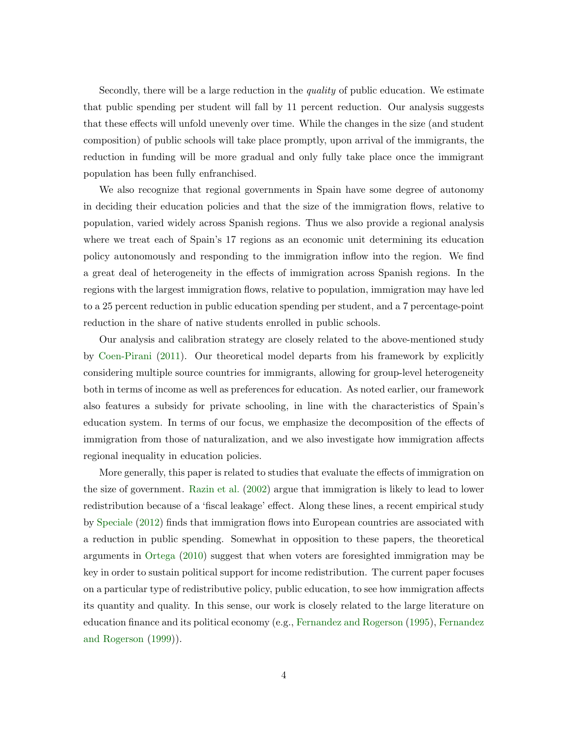Secondly, there will be a large reduction in the quality of public education. We estimate that public spending per student will fall by 11 percent reduction. Our analysis suggests that these effects will unfold unevenly over time. While the changes in the size (and student composition) of public schools will take place promptly, upon arrival of the immigrants, the reduction in funding will be more gradual and only fully take place once the immigrant population has been fully enfranchised.

We also recognize that regional governments in Spain have some degree of autonomy in deciding their education policies and that the size of the immigration flows, relative to population, varied widely across Spanish regions. Thus we also provide a regional analysis where we treat each of Spain's 17 regions as an economic unit determining its education policy autonomously and responding to the immigration inflow into the region. We find a great deal of heterogeneity in the effects of immigration across Spanish regions. In the regions with the largest immigration flows, relative to population, immigration may have led to a 25 percent reduction in public education spending per student, and a 7 percentage-point reduction in the share of native students enrolled in public schools.

Our analysis and calibration strategy are closely related to the above-mentioned study by [Coen-Pirani](#page-36-0) [\(2011\)](#page-36-0). Our theoretical model departs from his framework by explicitly considering multiple source countries for immigrants, allowing for group-level heterogeneity both in terms of income as well as preferences for education. As noted earlier, our framework also features a subsidy for private schooling, in line with the characteristics of Spain's education system. In terms of our focus, we emphasize the decomposition of the effects of immigration from those of naturalization, and we also investigate how immigration affects regional inequality in education policies.

More generally, this paper is related to studies that evaluate the effects of immigration on the size of government. [Razin et al.](#page-37-8) [\(2002\)](#page-37-8) argue that immigration is likely to lead to lower redistribution because of a 'fiscal leakage' effect. Along these lines, a recent empirical study by [Speciale](#page-37-9) [\(2012\)](#page-37-9) finds that immigration flows into European countries are associated with a reduction in public spending. Somewhat in opposition to these papers, the theoretical arguments in [Ortega](#page-37-10) [\(2010\)](#page-37-10) suggest that when voters are foresighted immigration may be key in order to sustain political support for income redistribution. The current paper focuses on a particular type of redistributive policy, public education, to see how immigration affects its quantity and quality. In this sense, our work is closely related to the large literature on education finance and its political economy (e.g., [Fernandez and Rogerson](#page-37-11) [\(1995\)](#page-37-11), [Fernandez](#page-37-12) [and Rogerson](#page-37-12) [\(1999\)](#page-37-12)).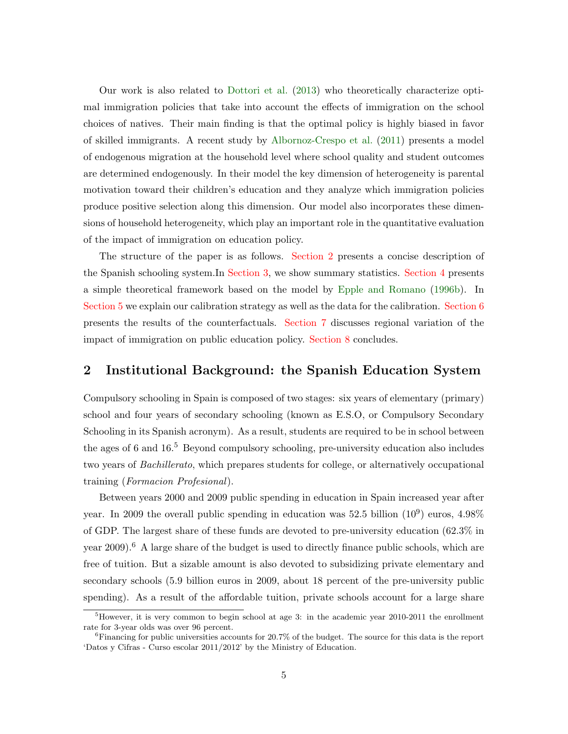Our work is also related to [Dottori et al.](#page-36-1) [\(2013\)](#page-36-1) who theoretically characterize optimal immigration policies that take into account the effects of immigration on the school choices of natives. Their main finding is that the optimal policy is highly biased in favor of skilled immigrants. A recent study by [Albornoz-Crespo et al.](#page-36-3) [\(2011\)](#page-36-3) presents a model of endogenous migration at the household level where school quality and student outcomes are determined endogenously. In their model the key dimension of heterogeneity is parental motivation toward their children's education and they analyze which immigration policies produce positive selection along this dimension. Our model also incorporates these dimensions of household heterogeneity, which play an important role in the quantitative evaluation of the impact of immigration on education policy.

The structure of the paper is as follows. [Section 2](#page-7-0) presents a concise description of the Spanish schooling system.In [Section 3,](#page-9-0) we show summary statistics. [Section 4](#page-11-0) presents a simple theoretical framework based on the model by [Epple and Romano](#page-37-0) [\(1996b\)](#page-37-0). In [Section 5](#page-19-0) we explain our calibration strategy as well as the data for the calibration. [Section 6](#page-24-0) presents the results of the counterfactuals. [Section 7](#page-29-0) discusses regional variation of the impact of immigration on public education policy. [Section 8](#page-34-0) concludes.

## <span id="page-7-0"></span>2 Institutional Background: the Spanish Education System

Compulsory schooling in Spain is composed of two stages: six years of elementary (primary) school and four years of secondary schooling (known as E.S.O, or Compulsory Secondary Schooling in its Spanish acronym). As a result, students are required to be in school between the ages of 6 and  $16<sup>5</sup>$  Beyond compulsory schooling, pre-university education also includes two years of Bachillerato, which prepares students for college, or alternatively occupational training (Formacion Profesional).

Between years 2000 and 2009 public spending in education in Spain increased year after year. In 2009 the overall public spending in education was 52.5 billion  $(10^9)$  euros, 4.98% of GDP. The largest share of these funds are devoted to pre-university education (62.3% in year 2009).<sup>6</sup> A large share of the budget is used to directly finance public schools, which are free of tuition. But a sizable amount is also devoted to subsidizing private elementary and secondary schools (5.9 billion euros in 2009, about 18 percent of the pre-university public spending). As a result of the affordable tuition, private schools account for a large share

 ${}^{5}$ However, it is very common to begin school at age 3: in the academic year 2010-2011 the enrollment rate for 3-year olds was over 96 percent.

 ${}^{6}$ Financing for public universities accounts for 20.7% of the budget. The source for this data is the report 'Datos y Cifras - Curso escolar 2011/2012' by the Ministry of Education.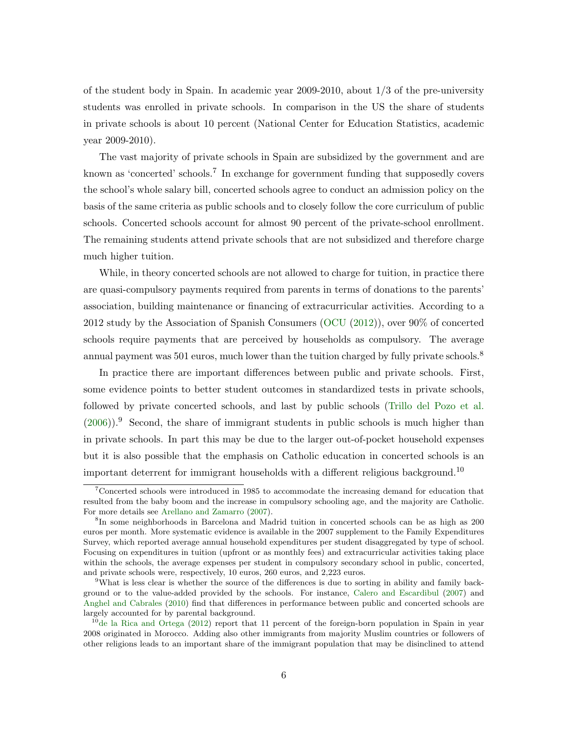of the student body in Spain. In academic year 2009-2010, about 1/3 of the pre-university students was enrolled in private schools. In comparison in the US the share of students in private schools is about 10 percent (National Center for Education Statistics, academic year 2009-2010).

The vast majority of private schools in Spain are subsidized by the government and are known as 'concerted' schools.<sup>7</sup> In exchange for government funding that supposedly covers the school's whole salary bill, concerted schools agree to conduct an admission policy on the basis of the same criteria as public schools and to closely follow the core curriculum of public schools. Concerted schools account for almost 90 percent of the private-school enrollment. The remaining students attend private schools that are not subsidized and therefore charge much higher tuition.

While, in theory concerted schools are not allowed to charge for tuition, in practice there are quasi-compulsory payments required from parents in terms of donations to the parents' association, building maintenance or financing of extracurricular activities. According to a 2012 study by the Association of Spanish Consumers [\(OCU](#page-37-13) [\(2012\)](#page-37-13)), over 90% of concerted schools require payments that are perceived by households as compulsory. The average annual payment was 501 euros, much lower than the tuition charged by fully private schools.<sup>8</sup>

In practice there are important differences between public and private schools. First, some evidence points to better student outcomes in standardized tests in private schools, followed by private concerted schools, and last by public schools [\(Trillo del Pozo et al.](#page-36-4)  $(2006)$ ).<sup>9</sup> Second, the share of immigrant students in public schools is much higher than in private schools. In part this may be due to the larger out-of-pocket household expenses but it is also possible that the emphasis on Catholic education in concerted schools is an important deterrent for immigrant households with a different religious background.<sup>10</sup>

<sup>7</sup>Concerted schools were introduced in 1985 to accommodate the increasing demand for education that resulted from the baby boom and the increase in compulsory schooling age, and the majority are Catholic. For more details see [Arellano and Zamarro](#page-36-5) [\(2007\)](#page-36-5).

<sup>8</sup> In some neighborhoods in Barcelona and Madrid tuition in concerted schools can be as high as 200 euros per month. More systematic evidence is available in the 2007 supplement to the Family Expenditures Survey, which reported average annual household expenditures per student disaggregated by type of school. Focusing on expenditures in tuition (upfront or as monthly fees) and extracurricular activities taking place within the schools, the average expenses per student in compulsory secondary school in public, concerted, and private schools were, respectively, 10 euros, 260 euros, and 2,223 euros.

<sup>&</sup>lt;sup>9</sup>What is less clear is whether the source of the differences is due to sorting in ability and family background or to the value-added provided by the schools. For instance, [Calero and Escardibul](#page-36-6) [\(2007\)](#page-36-6) and [Anghel and Cabrales](#page-36-7) [\(2010\)](#page-36-7) find that differences in performance between public and concerted schools are largely accounted for by parental background.

 $10$ [de la Rica and Ortega](#page-36-8) [\(2012\)](#page-36-8) report that 11 percent of the foreign-born population in Spain in year 2008 originated in Morocco. Adding also other immigrants from majority Muslim countries or followers of other religions leads to an important share of the immigrant population that may be disinclined to attend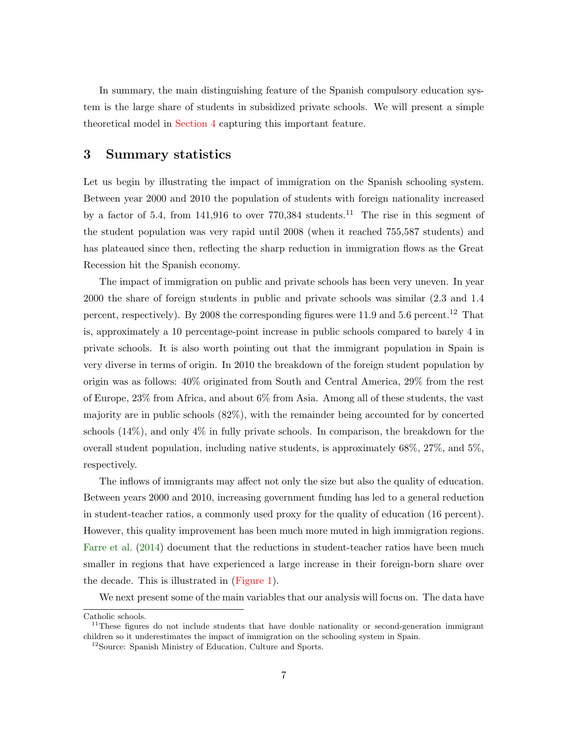In summary, the main distinguishing feature of the Spanish compulsory education system is the large share of students in subsidized private schools. We will present a simple theoretical model in [Section 4](#page-11-0) capturing this important feature.

## <span id="page-9-0"></span>3 Summary statistics

Let us begin by illustrating the impact of immigration on the Spanish schooling system. Between year 2000 and 2010 the population of students with foreign nationality increased by a factor of 5.4, from 141,916 to over 770,384 students.<sup>11</sup> The rise in this segment of the student population was very rapid until 2008 (when it reached 755,587 students) and has plateaued since then, reflecting the sharp reduction in immigration flows as the Great Recession hit the Spanish economy.

The impact of immigration on public and private schools has been very uneven. In year 2000 the share of foreign students in public and private schools was similar (2.3 and 1.4 percent, respectively). By 2008 the corresponding figures were 11.9 and 5.6 percent.<sup>12</sup> That is, approximately a 10 percentage-point increase in public schools compared to barely 4 in private schools. It is also worth pointing out that the immigrant population in Spain is very diverse in terms of origin. In 2010 the breakdown of the foreign student population by origin was as follows: 40% originated from South and Central America, 29% from the rest of Europe, 23% from Africa, and about 6% from Asia. Among all of these students, the vast majority are in public schools (82%), with the remainder being accounted for by concerted schools (14%), and only 4% in fully private schools. In comparison, the breakdown for the overall student population, including native students, is approximately 68%, 27%, and 5%, respectively.

The inflows of immigrants may affect not only the size but also the quality of education. Between years 2000 and 2010, increasing government funding has led to a general reduction in student-teacher ratios, a commonly used proxy for the quality of education (16 percent). However, this quality improvement has been much more muted in high immigration regions. [Farre et al.](#page-37-14) [\(2014\)](#page-37-14) document that the reductions in student-teacher ratios have been much smaller in regions that have experienced a large increase in their foreign-born share over the decade. This is illustrated in [\(Figure 1\)](#page-45-0).

We next present some of the main variables that our analysis will focus on. The data have

Catholic schools.

 $11$ These figures do not include students that have double nationality or second-generation immigrant children so it underestimates the impact of immigration on the schooling system in Spain.

<sup>12</sup>Source: Spanish Ministry of Education, Culture and Sports.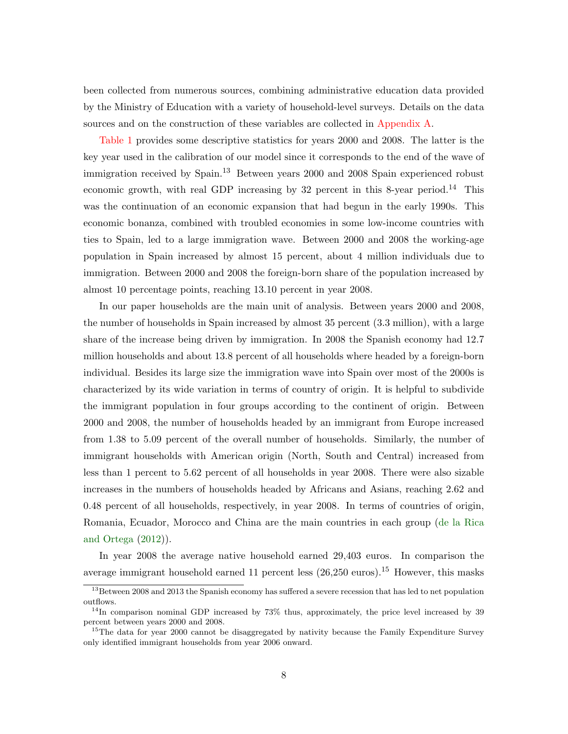been collected from numerous sources, combining administrative education data provided by the Ministry of Education with a variety of household-level surveys. Details on the data sources and on the construction of these variables are collected in [Appendix A.](#page-48-0)

[Table 1](#page-38-0) provides some descriptive statistics for years 2000 and 2008. The latter is the key year used in the calibration of our model since it corresponds to the end of the wave of immigration received by Spain.<sup>13</sup> Between years 2000 and 2008 Spain experienced robust economic growth, with real GDP increasing by 32 percent in this 8-year period.<sup>14</sup> This was the continuation of an economic expansion that had begun in the early 1990s. This economic bonanza, combined with troubled economies in some low-income countries with ties to Spain, led to a large immigration wave. Between 2000 and 2008 the working-age population in Spain increased by almost 15 percent, about 4 million individuals due to immigration. Between 2000 and 2008 the foreign-born share of the population increased by almost 10 percentage points, reaching 13.10 percent in year 2008.

In our paper households are the main unit of analysis. Between years 2000 and 2008, the number of households in Spain increased by almost 35 percent (3.3 million), with a large share of the increase being driven by immigration. In 2008 the Spanish economy had 12.7 million households and about 13.8 percent of all households where headed by a foreign-born individual. Besides its large size the immigration wave into Spain over most of the 2000s is characterized by its wide variation in terms of country of origin. It is helpful to subdivide the immigrant population in four groups according to the continent of origin. Between 2000 and 2008, the number of households headed by an immigrant from Europe increased from 1.38 to 5.09 percent of the overall number of households. Similarly, the number of immigrant households with American origin (North, South and Central) increased from less than 1 percent to 5.62 percent of all households in year 2008. There were also sizable increases in the numbers of households headed by Africans and Asians, reaching 2.62 and 0.48 percent of all households, respectively, in year 2008. In terms of countries of origin, Romania, Ecuador, Morocco and China are the main countries in each group [\(de la Rica](#page-36-8) [and Ortega](#page-36-8) [\(2012\)](#page-36-8)).

In year 2008 the average native household earned 29,403 euros. In comparison the average immigrant household earned 11 percent less  $(26,250 \text{ euros})$ .<sup>15</sup> However, this masks

<sup>&</sup>lt;sup>13</sup>Between 2008 and 2013 the Spanish economy has suffered a severe recession that has led to net population outflows.

 $14$ In comparison nominal GDP increased by 73% thus, approximately, the price level increased by 39 percent between years 2000 and 2008.

<sup>&</sup>lt;sup>15</sup>The data for year 2000 cannot be disaggregated by nativity because the Family Expenditure Survey only identified immigrant households from year 2006 onward.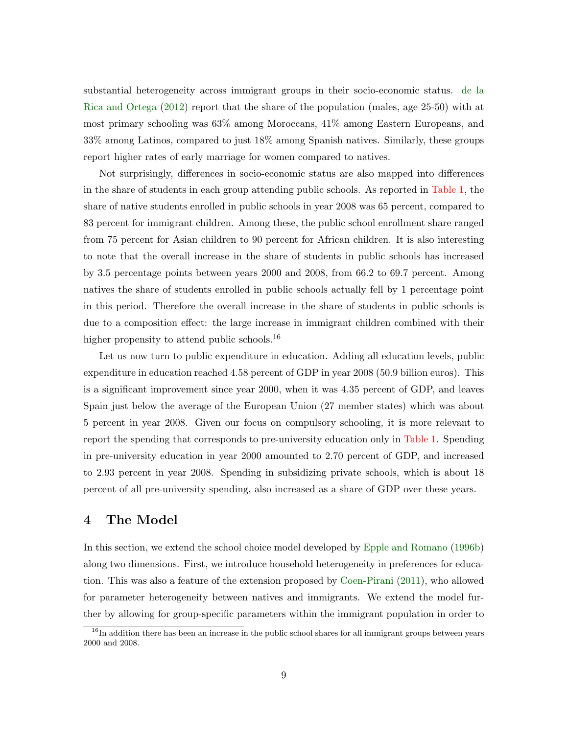substantial heterogeneity across immigrant groups in their socio-economic status. [de la](#page-36-8) [Rica and Ortega](#page-36-8) [\(2012\)](#page-36-8) report that the share of the population (males, age 25-50) with at most primary schooling was 63% among Moroccans, 41% among Eastern Europeans, and 33% among Latinos, compared to just 18% among Spanish natives. Similarly, these groups report higher rates of early marriage for women compared to natives.

Not surprisingly, differences in socio-economic status are also mapped into differences in the share of students in each group attending public schools. As reported in [Table 1,](#page-38-0) the share of native students enrolled in public schools in year 2008 was 65 percent, compared to 83 percent for immigrant children. Among these, the public school enrollment share ranged from 75 percent for Asian children to 90 percent for African children. It is also interesting to note that the overall increase in the share of students in public schools has increased by 3.5 percentage points between years 2000 and 2008, from 66.2 to 69.7 percent. Among natives the share of students enrolled in public schools actually fell by 1 percentage point in this period. Therefore the overall increase in the share of students in public schools is due to a composition effect: the large increase in immigrant children combined with their higher propensity to attend public schools.<sup>16</sup>

Let us now turn to public expenditure in education. Adding all education levels, public expenditure in education reached 4.58 percent of GDP in year 2008 (50.9 billion euros). This is a significant improvement since year 2000, when it was 4.35 percent of GDP, and leaves Spain just below the average of the European Union (27 member states) which was about 5 percent in year 2008. Given our focus on compulsory schooling, it is more relevant to report the spending that corresponds to pre-university education only in [Table 1.](#page-38-0) Spending in pre-university education in year 2000 amounted to 2.70 percent of GDP, and increased to 2.93 percent in year 2008. Spending in subsidizing private schools, which is about 18 percent of all pre-university spending, also increased as a share of GDP over these years.

## <span id="page-11-0"></span>4 The Model

In this section, we extend the school choice model developed by [Epple and Romano](#page-37-0) [\(1996b\)](#page-37-0) along two dimensions. First, we introduce household heterogeneity in preferences for education. This was also a feature of the extension proposed by [Coen-Pirani](#page-36-0) [\(2011\)](#page-36-0), who allowed for parameter heterogeneity between natives and immigrants. We extend the model further by allowing for group-specific parameters within the immigrant population in order to

 $16$ In addition there has been an increase in the public school shares for all immigrant groups between years 2000 and 2008.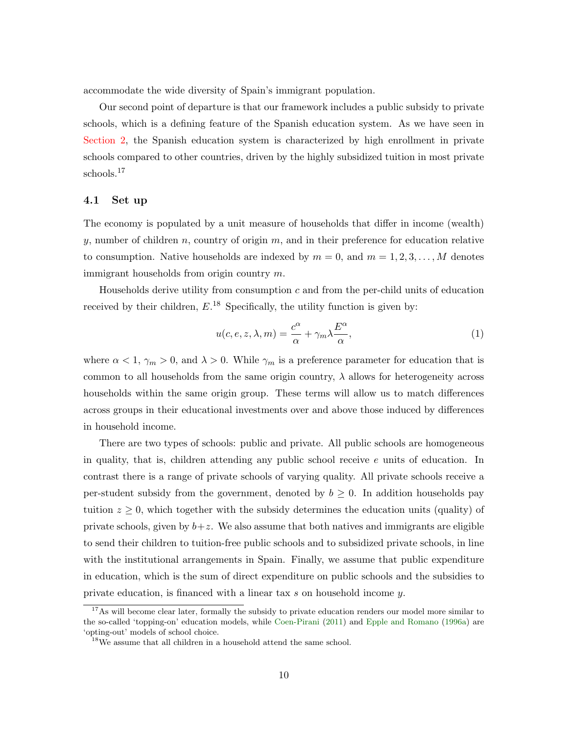accommodate the wide diversity of Spain's immigrant population.

Our second point of departure is that our framework includes a public subsidy to private schools, which is a defining feature of the Spanish education system. As we have seen in [Section 2,](#page-7-0) the Spanish education system is characterized by high enrollment in private schools compared to other countries, driven by the highly subsidized tuition in most private schools.<sup>17</sup>

#### 4.1 Set up

The economy is populated by a unit measure of households that differ in income (wealth) y, number of children  $n$ , country of origin  $m$ , and in their preference for education relative to consumption. Native households are indexed by  $m = 0$ , and  $m = 1, 2, 3, \ldots, M$  denotes immigrant households from origin country m.

Households derive utility from consumption  $c$  and from the per-child units of education received by their children,  $E^{18}$  Specifically, the utility function is given by:

$$
u(c, e, z, \lambda, m) = \frac{c^{\alpha}}{\alpha} + \gamma_m \lambda \frac{E^{\alpha}}{\alpha},
$$
\n(1)

where  $\alpha < 1$ ,  $\gamma_m > 0$ , and  $\lambda > 0$ . While  $\gamma_m$  is a preference parameter for education that is common to all households from the same origin country,  $\lambda$  allows for heterogeneity across households within the same origin group. These terms will allow us to match differences across groups in their educational investments over and above those induced by differences in household income.

There are two types of schools: public and private. All public schools are homogeneous in quality, that is, children attending any public school receive  $e$  units of education. In contrast there is a range of private schools of varying quality. All private schools receive a per-student subsidy from the government, denoted by  $b \geq 0$ . In addition households pay tuition  $z \geq 0$ , which together with the subsidy determines the education units (quality) of private schools, given by  $b+z$ . We also assume that both natives and immigrants are eligible to send their children to tuition-free public schools and to subsidized private schools, in line with the institutional arrangements in Spain. Finally, we assume that public expenditure in education, which is the sum of direct expenditure on public schools and the subsidies to private education, is financed with a linear tax s on household income y.

<sup>&</sup>lt;sup>17</sup>As will become clear later, formally the subsidy to private education renders our model more similar to the so-called 'topping-on' education models, while [Coen-Pirani](#page-36-0) [\(2011\)](#page-36-0) and [Epple and Romano](#page-36-9) [\(1996a\)](#page-36-9) are 'opting-out' models of school choice.

 $^{18}$  We assume that all children in a household attend the same school.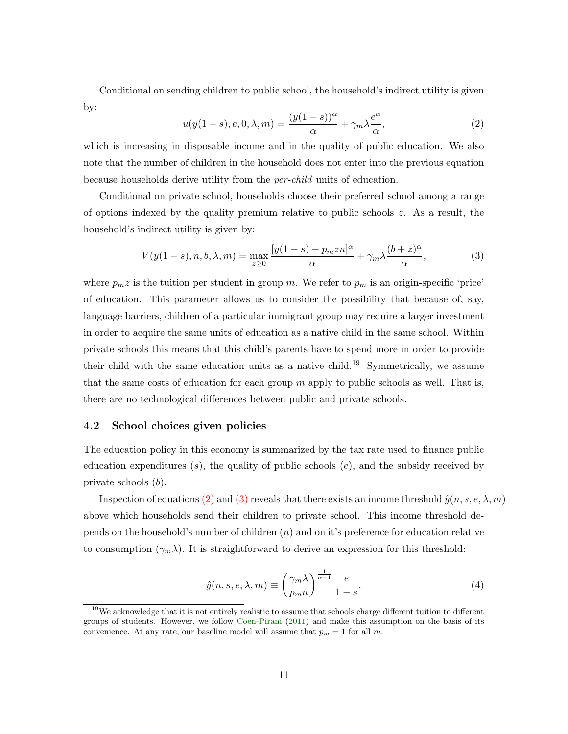Conditional on sending children to public school, the household's indirect utility is given by:

<span id="page-13-0"></span>
$$
u(y(1-s), e, 0, \lambda, m) = \frac{(y(1-s))^{\alpha}}{\alpha} + \gamma_m \lambda \frac{e^{\alpha}}{\alpha}, \qquad (2)
$$

which is increasing in disposable income and in the quality of public education. We also note that the number of children in the household does not enter into the previous equation because households derive utility from the per-child units of education.

Conditional on private school, households choose their preferred school among a range of options indexed by the quality premium relative to public schools  $z$ . As a result, the household's indirect utility is given by:

<span id="page-13-1"></span>
$$
V(y(1-s), n, b, \lambda, m) = \max_{z \ge 0} \frac{[y(1-s) - p_m z n]^{\alpha}}{\alpha} + \gamma_m \lambda \frac{(b+z)^{\alpha}}{\alpha},\tag{3}
$$

where  $p_m z$  is the tuition per student in group m. We refer to  $p_m$  is an origin-specific 'price' of education. This parameter allows us to consider the possibility that because of, say, language barriers, children of a particular immigrant group may require a larger investment in order to acquire the same units of education as a native child in the same school. Within private schools this means that this child's parents have to spend more in order to provide their child with the same education units as a native child.<sup>19</sup> Symmetrically, we assume that the same costs of education for each group  $m$  apply to public schools as well. That is, there are no technological differences between public and private schools.

#### 4.2 School choices given policies

The education policy in this economy is summarized by the tax rate used to finance public education expenditures  $(s)$ , the quality of public schools  $(e)$ , and the subsidy received by private schools (b).

Inspection of equations [\(2\)](#page-13-0) and [\(3\)](#page-13-1) reveals that there exists an income threshold  $\hat{y}(n, s, e, \lambda, m)$ above which households send their children to private school. This income threshold depends on the household's number of children  $(n)$  and on it's preference for education relative to consumption  $(\gamma_m \lambda)$ . It is straightforward to derive an expression for this threshold:

<span id="page-13-2"></span>
$$
\hat{y}(n, s, e, \lambda, m) \equiv \left(\frac{\gamma_m \lambda}{p_m n}\right)^{\frac{1}{\alpha - 1}} \frac{e}{1 - s}.\tag{4}
$$

 $19\text{We acknowledge that it is not entirely realistic to assume that schools charge different tuition to different$ groups of students. However, we follow [Coen-Pirani](#page-36-0) [\(2011\)](#page-36-0) and make this assumption on the basis of its convenience. At any rate, our baseline model will assume that  $p_m = 1$  for all m.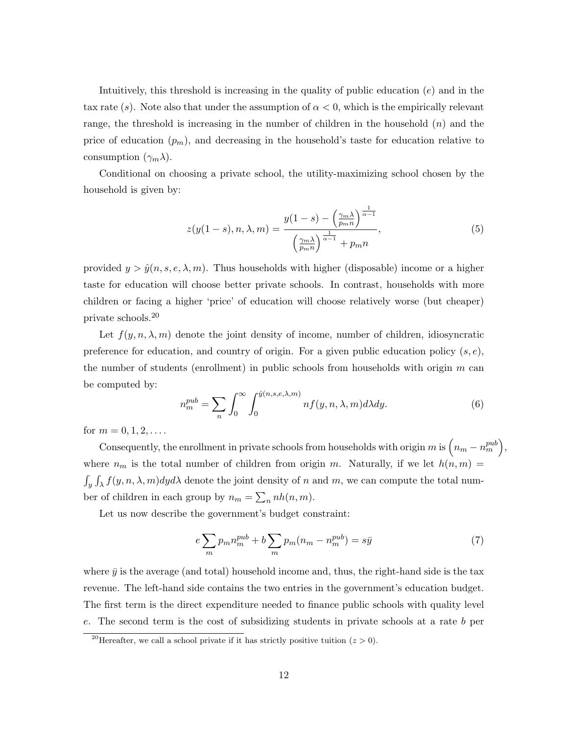Intuitively, this threshold is increasing in the quality of public education  $(e)$  and in the tax rate (s). Note also that under the assumption of  $\alpha < 0$ , which is the empirically relevant range, the threshold is increasing in the number of children in the household  $(n)$  and the price of education  $(p_m)$ , and decreasing in the household's taste for education relative to consumption  $(\gamma_m \lambda)$ .

Conditional on choosing a private school, the utility-maximizing school chosen by the household is given by:

$$
z(y(1-s), n, \lambda, m) = \frac{y(1-s) - \left(\frac{\gamma_m \lambda}{p_m n}\right)^{\frac{1}{\alpha-1}}}{\left(\frac{\gamma_m \lambda}{p_m n}\right)^{\frac{1}{\alpha-1}} + p_m n},\tag{5}
$$

provided  $y > \hat{y}(n, s, e, \lambda, m)$ . Thus households with higher (disposable) income or a higher taste for education will choose better private schools. In contrast, households with more children or facing a higher 'price' of education will choose relatively worse (but cheaper) private schools.<sup>20</sup>

Let  $f(y, n, \lambda, m)$  denote the joint density of income, number of children, idiosyncratic preference for education, and country of origin. For a given public education policy  $(s, e)$ , the number of students (enrollment) in public schools from households with origin  $m$  can be computed by:

<span id="page-14-1"></span>
$$
n_m^{pub} = \sum_n \int_0^\infty \int_0^{\hat{y}(n,s,e,\lambda,m)} n f(y,n,\lambda,m) d\lambda dy.
$$
 (6)

for  $m = 0, 1, 2, \ldots$ .

Consequently, the enrollment in private schools from households with origin m is  $\left(n_m - n_m^{pub}\right)$ , where  $n_m$  is the total number of children from origin m. Naturally, if we let  $h(n,m)$  $\int_y \int_\lambda f(y, n, \lambda, m) dy d\lambda$  denote the joint density of n and m, we can compute the total number of children in each group by  $n_m = \sum_n nh(n, m)$ .

Let us now describe the government's budget constraint:

<span id="page-14-0"></span>
$$
e\sum_{m}p_{m}n_{m}^{pub} + b\sum_{m}p_{m}(n_{m} - n_{m}^{pub}) = s\bar{y}
$$
\n<sup>(7)</sup>

where  $\bar{y}$  is the average (and total) household income and, thus, the right-hand side is the tax revenue. The left-hand side contains the two entries in the government's education budget. The first term is the direct expenditure needed to finance public schools with quality level e. The second term is the cost of subsidizing students in private schools at a rate b per

<sup>&</sup>lt;sup>20</sup>Hereafter, we call a school private if it has strictly positive tuition  $(z > 0)$ .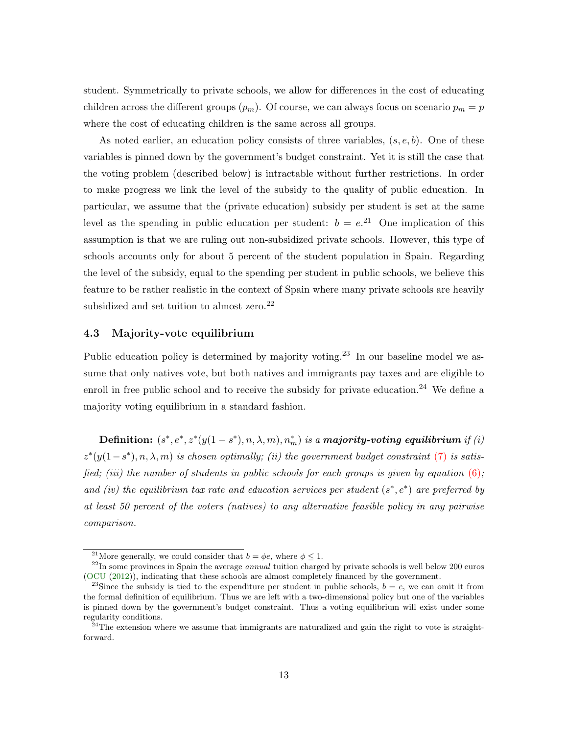student. Symmetrically to private schools, we allow for differences in the cost of educating children across the different groups  $(p_m)$ . Of course, we can always focus on scenario  $p_m = p$ where the cost of educating children is the same across all groups.

As noted earlier, an education policy consists of three variables,  $(s, e, b)$ . One of these variables is pinned down by the government's budget constraint. Yet it is still the case that the voting problem (described below) is intractable without further restrictions. In order to make progress we link the level of the subsidy to the quality of public education. In particular, we assume that the (private education) subsidy per student is set at the same level as the spending in public education per student:  $b = e^{21}$  One implication of this assumption is that we are ruling out non-subsidized private schools. However, this type of schools accounts only for about 5 percent of the student population in Spain. Regarding the level of the subsidy, equal to the spending per student in public schools, we believe this feature to be rather realistic in the context of Spain where many private schools are heavily subsidized and set tuition to almost zero. $22$ 

#### 4.3 Majority-vote equilibrium

Public education policy is determined by majority voting.<sup>23</sup> In our baseline model we assume that only natives vote, but both natives and immigrants pay taxes and are eligible to enroll in free public school and to receive the subsidy for private education.<sup>24</sup> We define a majority voting equilibrium in a standard fashion.

Definition:  $(s^*, e^*, z^*(y(1-s^*), n, \lambda, m), n_m^*)$  is a majority-voting equilibrium if  $(i)$  $z^*(y(1-s^*), n, \lambda, m)$  is chosen optimally; (ii) the government budget constraint [\(7\)](#page-14-0) is satisfied; (iii) the number of students in public schools for each groups is given by equation  $(6)$ ; and (iv) the equilibrium tax rate and education services per student  $(s^*, e^*)$  are preferred by at least 50 percent of the voters (natives) to any alternative feasible policy in any pairwise comparison.

<sup>&</sup>lt;sup>21</sup>More generally, we could consider that  $b = \phi e$ , where  $\phi \leq 1$ .

 $^{22}$ In some provinces in Spain the average *annual* tuition charged by private schools is well below 200 euros [\(OCU](#page-37-13) [\(2012\)](#page-37-13)), indicating that these schools are almost completely financed by the government.

<sup>&</sup>lt;sup>23</sup>Since the subsidy is tied to the expenditure per student in public schools,  $b = e$ , we can omit it from the formal definition of equilibrium. Thus we are left with a two-dimensional policy but one of the variables is pinned down by the government's budget constraint. Thus a voting equilibrium will exist under some regularity conditions.

 $^{24}$ The extension where we assume that immigrants are naturalized and gain the right to vote is straightforward.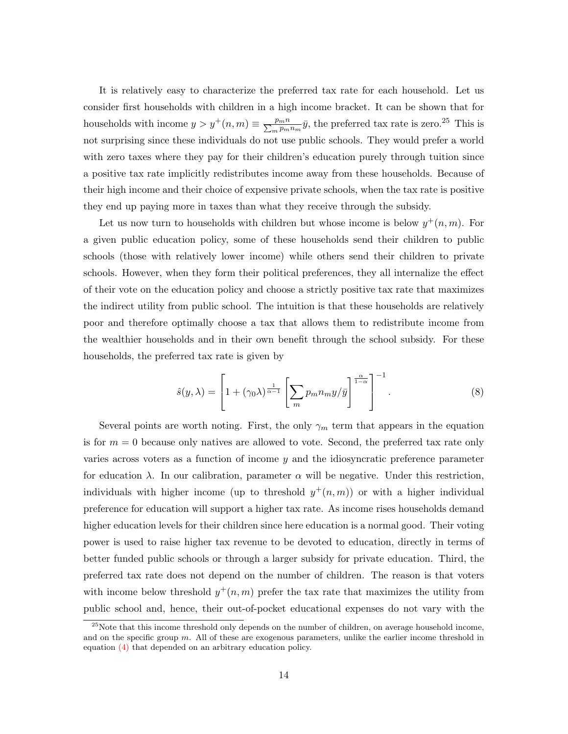It is relatively easy to characterize the preferred tax rate for each household. Let us consider first households with children in a high income bracket. It can be shown that for households with income  $y > y^+(n,m) \equiv \frac{p_m n}{\sum_m p_m}$  $\frac{p_m n}{m p_m n_m} \bar{y}$ , the preferred tax rate is zero.<sup>25</sup> This is not surprising since these individuals do not use public schools. They would prefer a world with zero taxes where they pay for their children's education purely through tuition since a positive tax rate implicitly redistributes income away from these households. Because of their high income and their choice of expensive private schools, when the tax rate is positive they end up paying more in taxes than what they receive through the subsidy.

Let us now turn to households with children but whose income is below  $y^+(n,m)$ . For a given public education policy, some of these households send their children to public schools (those with relatively lower income) while others send their children to private schools. However, when they form their political preferences, they all internalize the effect of their vote on the education policy and choose a strictly positive tax rate that maximizes the indirect utility from public school. The intuition is that these households are relatively poor and therefore optimally choose a tax that allows them to redistribute income from the wealthier households and in their own benefit through the school subsidy. For these households, the preferred tax rate is given by

<span id="page-16-0"></span>
$$
\hat{s}(y,\lambda) = \left[1 + (\gamma_0 \lambda)^{\frac{1}{\alpha - 1}} \left[\sum_m p_m n_m y/\bar{y}\right]^{\frac{\alpha}{1 - \alpha}}\right]^{-1}.
$$
\n(8)

Several points are worth noting. First, the only  $\gamma_m$  term that appears in the equation is for  $m = 0$  because only natives are allowed to vote. Second, the preferred tax rate only varies across voters as a function of income  $y$  and the idiosyncratic preference parameter for education  $\lambda$ . In our calibration, parameter  $\alpha$  will be negative. Under this restriction, individuals with higher income (up to threshold  $y^+(n,m)$ ) or with a higher individual preference for education will support a higher tax rate. As income rises households demand higher education levels for their children since here education is a normal good. Their voting power is used to raise higher tax revenue to be devoted to education, directly in terms of better funded public schools or through a larger subsidy for private education. Third, the preferred tax rate does not depend on the number of children. The reason is that voters with income below threshold  $y^+(n,m)$  prefer the tax rate that maximizes the utility from public school and, hence, their out-of-pocket educational expenses do not vary with the

 $^{25}$ Note that this income threshold only depends on the number of children, on average household income, and on the specific group  $m$ . All of these are exogenous parameters, unlike the earlier income threshold in equation [\(4\)](#page-13-2) that depended on an arbitrary education policy.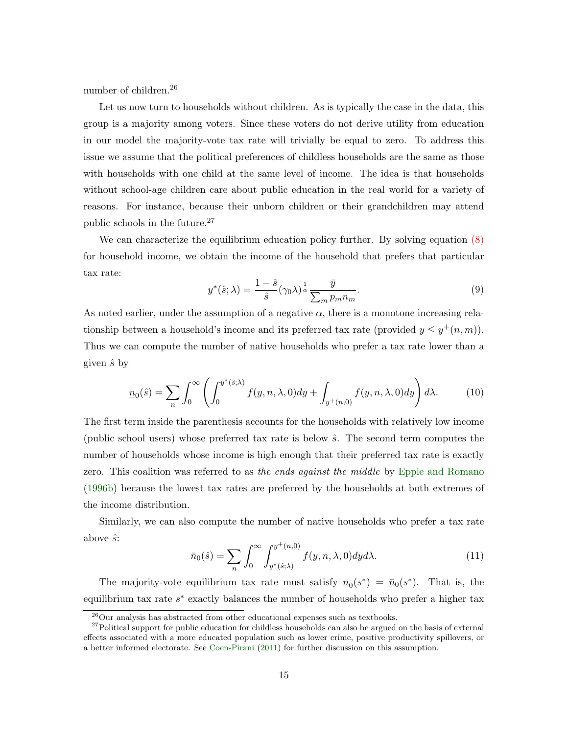number of children.<sup>26</sup>

Let us now turn to households without children. As is typically the case in the data, this group is a majority among voters. Since these voters do not derive utility from education in our model the majority-vote tax rate will trivially be equal to zero. To address this issue we assume that the political preferences of childless households are the same as those with households with one child at the same level of income. The idea is that households without school-age children care about public education in the real world for a variety of reasons. For instance, because their unborn children or their grandchildren may attend public schools in the future.<sup>27</sup>

We can characterize the equilibrium education policy further. By solving equation  $(8)$ for household income, we obtain the income of the household that prefers that particular tax rate:

$$
y^*(\hat{s};\lambda) = \frac{1-\hat{s}}{\hat{s}}(\gamma_0\lambda)^{\frac{1}{\alpha}} \frac{\bar{y}}{\sum_m p_m n_m}.
$$
\n(9)

As noted earlier, under the assumption of a negative  $\alpha$ , there is a monotone increasing relationship between a household's income and its preferred tax rate (provided  $y \leq y^+(n,m)$ ). Thus we can compute the number of native households who prefer a tax rate lower than a given  $\hat{s}$  by

<span id="page-17-0"></span>
$$
\underline{n}_0(\hat{s}) = \sum_n \int_0^\infty \left( \int_0^{y^*(\hat{s};\lambda)} f(y,n,\lambda,0) dy + \int_{y^+(n,0)} f(y,n,\lambda,0) dy \right) d\lambda. \tag{10}
$$

The first term inside the parenthesis accounts for the households with relatively low income (public school users) whose preferred tax rate is below  $\hat{s}$ . The second term computes the number of households whose income is high enough that their preferred tax rate is exactly zero. This coalition was referred to as the ends against the middle by [Epple and Romano](#page-37-0) [\(1996b\)](#page-37-0) because the lowest tax rates are preferred by the households at both extremes of the income distribution.

Similarly, we can also compute the number of native households who prefer a tax rate above  $\hat{s}$ :

$$
\bar{n}_0(\hat{s}) = \sum_n \int_0^\infty \int_{y^*(\hat{s};\lambda)}^{y^+(n,0)} f(y,n,\lambda,0) dy d\lambda.
$$
 (11)

The majority-vote equilibrium tax rate must satisfy  $\underline{n}_0(s^*) = \overline{n}_0(s^*)$ . That is, the equilibrium tax rate  $s^*$  exactly balances the number of households who prefer a higher tax

 $^{26}$ Our analysis has abstracted from other educational expenses such as textbooks.

<sup>&</sup>lt;sup>27</sup>Political support for public education for childless households can also be argued on the basis of external effects associated with a more educated population such as lower crime, positive productivity spillovers, or a better informed electorate. See [Coen-Pirani](#page-36-0) [\(2011\)](#page-36-0) for further discussion on this assumption.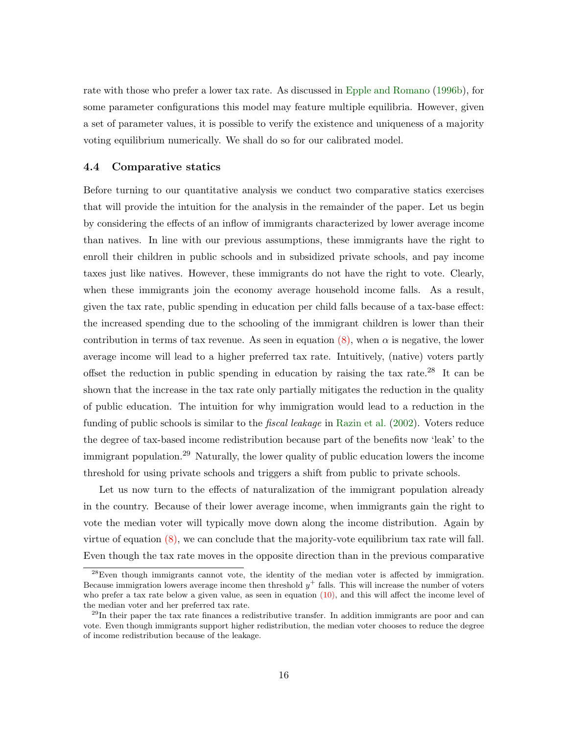rate with those who prefer a lower tax rate. As discussed in [Epple and Romano](#page-37-0) [\(1996b\)](#page-37-0), for some parameter configurations this model may feature multiple equilibria. However, given a set of parameter values, it is possible to verify the existence and uniqueness of a majority voting equilibrium numerically. We shall do so for our calibrated model.

#### 4.4 Comparative statics

Before turning to our quantitative analysis we conduct two comparative statics exercises that will provide the intuition for the analysis in the remainder of the paper. Let us begin by considering the effects of an inflow of immigrants characterized by lower average income than natives. In line with our previous assumptions, these immigrants have the right to enroll their children in public schools and in subsidized private schools, and pay income taxes just like natives. However, these immigrants do not have the right to vote. Clearly, when these immigrants join the economy average household income falls. As a result, given the tax rate, public spending in education per child falls because of a tax-base effect: the increased spending due to the schooling of the immigrant children is lower than their contribution in terms of tax revenue. As seen in equation  $(8)$ , when  $\alpha$  is negative, the lower average income will lead to a higher preferred tax rate. Intuitively, (native) voters partly offset the reduction in public spending in education by raising the tax rate.<sup>28</sup> It can be shown that the increase in the tax rate only partially mitigates the reduction in the quality of public education. The intuition for why immigration would lead to a reduction in the funding of public schools is similar to the *fiscal leakage* in [Razin et al.](#page-37-8) [\(2002\)](#page-37-8). Voters reduce the degree of tax-based income redistribution because part of the benefits now 'leak' to the immigrant population.<sup>29</sup> Naturally, the lower quality of public education lowers the income threshold for using private schools and triggers a shift from public to private schools.

Let us now turn to the effects of naturalization of the immigrant population already in the country. Because of their lower average income, when immigrants gain the right to vote the median voter will typically move down along the income distribution. Again by virtue of equation [\(8\),](#page-16-0) we can conclude that the majority-vote equilibrium tax rate will fall. Even though the tax rate moves in the opposite direction than in the previous comparative

 $28$ Even though immigrants cannot vote, the identity of the median voter is affected by immigration. Because immigration lowers average income then threshold  $y^{+}$  falls. This will increase the number of voters who prefer a tax rate below a given value, as seen in equation  $(10)$ , and this will affect the income level of the median voter and her preferred tax rate.

 $^{29}$ In their paper the tax rate finances a redistributive transfer. In addition immigrants are poor and can vote. Even though immigrants support higher redistribution, the median voter chooses to reduce the degree of income redistribution because of the leakage.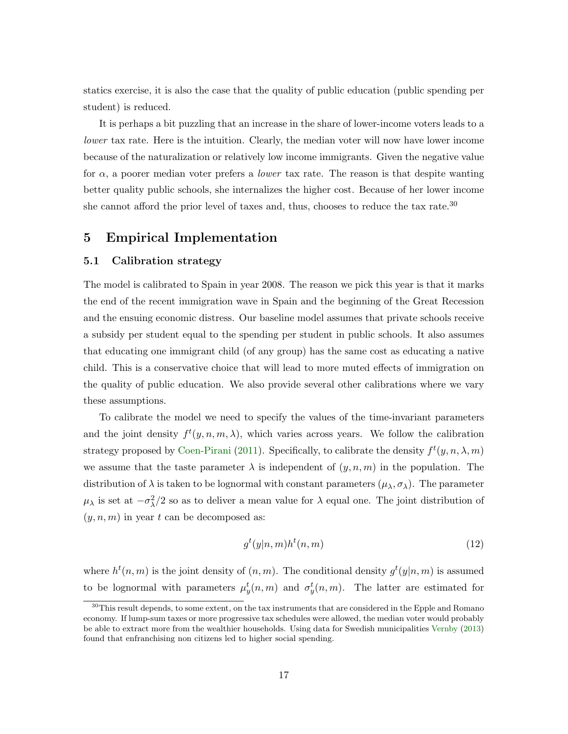statics exercise, it is also the case that the quality of public education (public spending per student) is reduced.

It is perhaps a bit puzzling that an increase in the share of lower-income voters leads to a lower tax rate. Here is the intuition. Clearly, the median voter will now have lower income because of the naturalization or relatively low income immigrants. Given the negative value for  $\alpha$ , a poorer median voter prefers a *lower* tax rate. The reason is that despite wanting better quality public schools, she internalizes the higher cost. Because of her lower income she cannot afford the prior level of taxes and, thus, chooses to reduce the tax rate.<sup>30</sup>

## <span id="page-19-0"></span>5 Empirical Implementation

#### 5.1 Calibration strategy

The model is calibrated to Spain in year 2008. The reason we pick this year is that it marks the end of the recent immigration wave in Spain and the beginning of the Great Recession and the ensuing economic distress. Our baseline model assumes that private schools receive a subsidy per student equal to the spending per student in public schools. It also assumes that educating one immigrant child (of any group) has the same cost as educating a native child. This is a conservative choice that will lead to more muted effects of immigration on the quality of public education. We also provide several other calibrations where we vary these assumptions.

To calibrate the model we need to specify the values of the time-invariant parameters and the joint density  $f^t(y, n, m, \lambda)$ , which varies across years. We follow the calibration strategy proposed by [Coen-Pirani](#page-36-0) [\(2011\)](#page-36-0). Specifically, to calibrate the density  $f^t(y, n, \lambda, m)$ we assume that the taste parameter  $\lambda$  is independent of  $(y, n, m)$  in the population. The distribution of  $\lambda$  is taken to be lognormal with constant parameters  $(\mu_{\lambda}, \sigma_{\lambda})$ . The parameter  $\mu_{\lambda}$  is set at  $-\sigma_{\lambda}^2/2$  so as to deliver a mean value for  $\lambda$  equal one. The joint distribution of  $(y, n, m)$  in year t can be decomposed as:

$$
g^t(y|n,m)h^t(n,m) \tag{12}
$$

where  $h^t(n,m)$  is the joint density of  $(n,m)$ . The conditional density  $g^t(y|n,m)$  is assumed to be lognormal with parameters  $\mu_y^t(n,m)$  and  $\sigma_y^t(n,m)$ . The latter are estimated for

<sup>&</sup>lt;sup>30</sup>This result depends, to some extent, on the tax instruments that are considered in the Epple and Romano economy. If lump-sum taxes or more progressive tax schedules were allowed, the median voter would probably be able to extract more from the wealthier households. Using data for Swedish municipalities [Vernby](#page-37-15) [\(2013\)](#page-37-15) found that enfranchising non citizens led to higher social spending.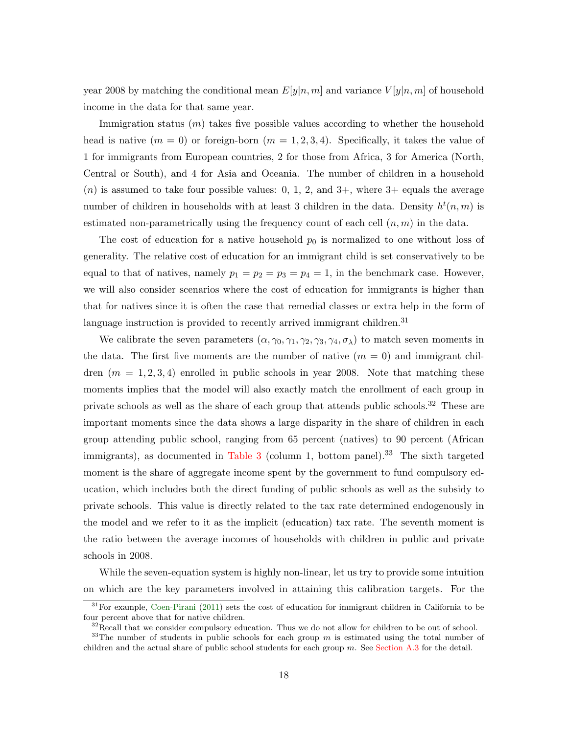year 2008 by matching the conditional mean  $E[y|n,m]$  and variance  $V[y|n,m]$  of household income in the data for that same year.

Immigration status  $(m)$  takes five possible values according to whether the household head is native  $(m = 0)$  or foreign-born  $(m = 1, 2, 3, 4)$ . Specifically, it takes the value of 1 for immigrants from European countries, 2 for those from Africa, 3 for America (North, Central or South), and 4 for Asia and Oceania. The number of children in a household  $(n)$  is assumed to take four possible values: 0, 1, 2, and 3+, where 3+ equals the average number of children in households with at least 3 children in the data. Density  $h^t(n,m)$  is estimated non-parametrically using the frequency count of each cell  $(n, m)$  in the data.

The cost of education for a native household  $p_0$  is normalized to one without loss of generality. The relative cost of education for an immigrant child is set conservatively to be equal to that of natives, namely  $p_1 = p_2 = p_3 = p_4 = 1$ , in the benchmark case. However, we will also consider scenarios where the cost of education for immigrants is higher than that for natives since it is often the case that remedial classes or extra help in the form of language instruction is provided to recently arrived immigrant children.<sup>31</sup>

We calibrate the seven parameters  $(\alpha, \gamma_0, \gamma_1, \gamma_2, \gamma_3, \gamma_4, \sigma_\lambda)$  to match seven moments in the data. The first five moments are the number of native  $(m = 0)$  and immigrant children  $(m = 1, 2, 3, 4)$  enrolled in public schools in year 2008. Note that matching these moments implies that the model will also exactly match the enrollment of each group in private schools as well as the share of each group that attends public schools.<sup>32</sup> These are important moments since the data shows a large disparity in the share of children in each group attending public school, ranging from 65 percent (natives) to 90 percent (African immigrants), as documented in [Table 3](#page-40-0) (column 1, bottom panel).<sup>33</sup> The sixth targeted moment is the share of aggregate income spent by the government to fund compulsory education, which includes both the direct funding of public schools as well as the subsidy to private schools. This value is directly related to the tax rate determined endogenously in the model and we refer to it as the implicit (education) tax rate. The seventh moment is the ratio between the average incomes of households with children in public and private schools in 2008.

While the seven-equation system is highly non-linear, let us try to provide some intuition on which are the key parameters involved in attaining this calibration targets. For the

<sup>31</sup>For example, [Coen-Pirani](#page-36-0) [\(2011\)](#page-36-0) sets the cost of education for immigrant children in California to be four percent above that for native children.

 $32$ Recall that we consider compulsory education. Thus we do not allow for children to be out of school.

<sup>&</sup>lt;sup>33</sup>The number of students in public schools for each group  $m$  is estimated using the total number of children and the actual share of public school students for each group  $m$ . See [Section A.3](#page-48-1) for the detail.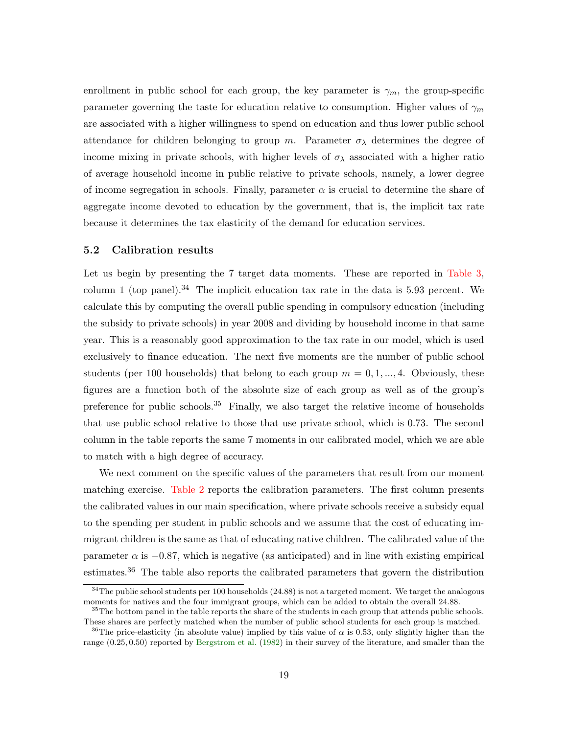enrollment in public school for each group, the key parameter is  $\gamma_m$ , the group-specific parameter governing the taste for education relative to consumption. Higher values of  $\gamma_m$ are associated with a higher willingness to spend on education and thus lower public school attendance for children belonging to group m. Parameter  $\sigma_{\lambda}$  determines the degree of income mixing in private schools, with higher levels of  $\sigma_{\lambda}$  associated with a higher ratio of average household income in public relative to private schools, namely, a lower degree of income segregation in schools. Finally, parameter  $\alpha$  is crucial to determine the share of aggregate income devoted to education by the government, that is, the implicit tax rate because it determines the tax elasticity of the demand for education services.

#### 5.2 Calibration results

Let us begin by presenting the 7 target data moments. These are reported in [Table 3,](#page-40-0) column 1 (top panel).<sup>34</sup> The implicit education tax rate in the data is 5.93 percent. We calculate this by computing the overall public spending in compulsory education (including the subsidy to private schools) in year 2008 and dividing by household income in that same year. This is a reasonably good approximation to the tax rate in our model, which is used exclusively to finance education. The next five moments are the number of public school students (per 100 households) that belong to each group  $m = 0, 1, ..., 4$ . Obviously, these figures are a function both of the absolute size of each group as well as of the group's preference for public schools.<sup>35</sup> Finally, we also target the relative income of households that use public school relative to those that use private school, which is 0.73. The second column in the table reports the same 7 moments in our calibrated model, which we are able to match with a high degree of accuracy.

We next comment on the specific values of the parameters that result from our moment matching exercise. [Table 2](#page-39-0) reports the calibration parameters. The first column presents the calibrated values in our main specification, where private schools receive a subsidy equal to the spending per student in public schools and we assume that the cost of educating immigrant children is the same as that of educating native children. The calibrated value of the parameter  $\alpha$  is  $-0.87$ , which is negative (as anticipated) and in line with existing empirical estimates.<sup>36</sup> The table also reports the calibrated parameters that govern the distribution

 $34$ The public school students per 100 households (24.88) is not a targeted moment. We target the analogous moments for natives and the four immigrant groups, which can be added to obtain the overall 24.88.

<sup>&</sup>lt;sup>35</sup>The bottom panel in the table reports the share of the students in each group that attends public schools. These shares are perfectly matched when the number of public school students for each group is matched.

<sup>&</sup>lt;sup>36</sup>The price-elasticity (in absolute value) implied by this value of  $\alpha$  is 0.53, only slightly higher than the range (0.25, 0.50) reported by [Bergstrom et al.](#page-36-10) [\(1982\)](#page-36-10) in their survey of the literature, and smaller than the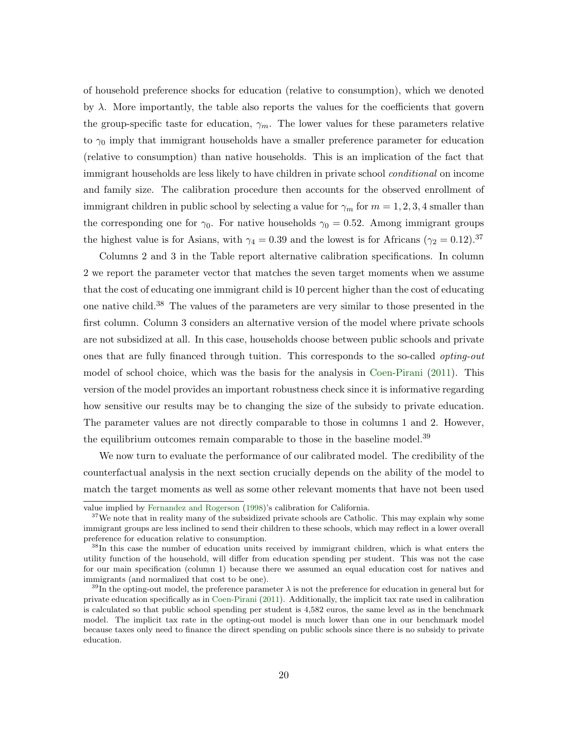of household preference shocks for education (relative to consumption), which we denoted by  $\lambda$ . More importantly, the table also reports the values for the coefficients that govern the group-specific taste for education,  $\gamma_m$ . The lower values for these parameters relative to  $\gamma_0$  imply that immigrant households have a smaller preference parameter for education (relative to consumption) than native households. This is an implication of the fact that immigrant households are less likely to have children in private school *conditional* on income and family size. The calibration procedure then accounts for the observed enrollment of immigrant children in public school by selecting a value for  $\gamma_m$  for  $m = 1, 2, 3, 4$  smaller than the corresponding one for  $\gamma_0$ . For native households  $\gamma_0 = 0.52$ . Among immigrant groups the highest value is for Asians, with  $\gamma_4 = 0.39$  and the lowest is for Africans ( $\gamma_2 = 0.12$ ).<sup>37</sup>

Columns 2 and 3 in the Table report alternative calibration specifications. In column 2 we report the parameter vector that matches the seven target moments when we assume that the cost of educating one immigrant child is 10 percent higher than the cost of educating one native child.<sup>38</sup> The values of the parameters are very similar to those presented in the first column. Column 3 considers an alternative version of the model where private schools are not subsidized at all. In this case, households choose between public schools and private ones that are fully financed through tuition. This corresponds to the so-called opting-out model of school choice, which was the basis for the analysis in [Coen-Pirani](#page-36-0) [\(2011\)](#page-36-0). This version of the model provides an important robustness check since it is informative regarding how sensitive our results may be to changing the size of the subsidy to private education. The parameter values are not directly comparable to those in columns 1 and 2. However, the equilibrium outcomes remain comparable to those in the baseline model.<sup>39</sup>

We now turn to evaluate the performance of our calibrated model. The credibility of the counterfactual analysis in the next section crucially depends on the ability of the model to match the target moments as well as some other relevant moments that have not been used

value implied by [Fernandez and Rogerson](#page-37-16) [\(1998\)](#page-37-16)'s calibration for California.

<sup>&</sup>lt;sup>37</sup>We note that in reality many of the subsidized private schools are Catholic. This may explain why some immigrant groups are less inclined to send their children to these schools, which may reflect in a lower overall preference for education relative to consumption.

<sup>38</sup>In this case the number of education units received by immigrant children, which is what enters the utility function of the household, will differ from education spending per student. This was not the case for our main specification (column 1) because there we assumed an equal education cost for natives and immigrants (and normalized that cost to be one).

<sup>&</sup>lt;sup>39</sup>In the opting-out model, the preference parameter  $\lambda$  is not the preference for education in general but for private education specifically as in [Coen-Pirani](#page-36-0) [\(2011\)](#page-36-0). Additionally, the implicit tax rate used in calibration is calculated so that public school spending per student is 4,582 euros, the same level as in the benchmark model. The implicit tax rate in the opting-out model is much lower than one in our benchmark model because taxes only need to finance the direct spending on public schools since there is no subsidy to private education.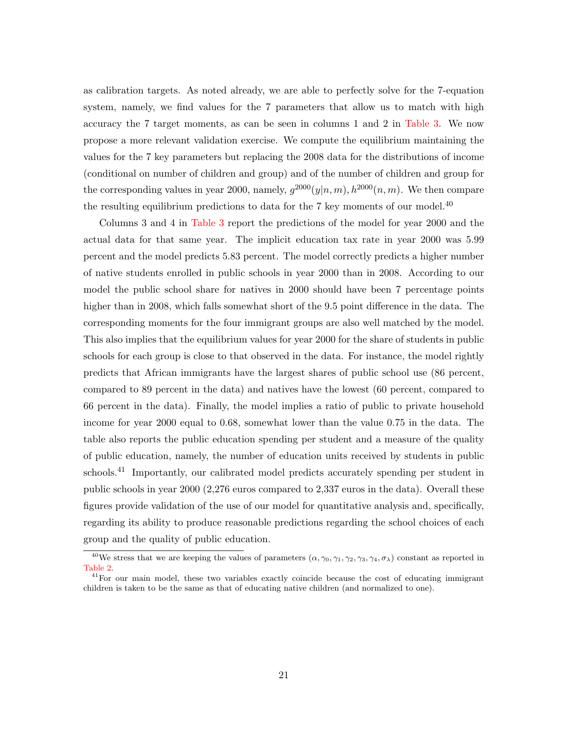as calibration targets. As noted already, we are able to perfectly solve for the 7-equation system, namely, we find values for the 7 parameters that allow us to match with high accuracy the 7 target moments, as can be seen in columns 1 and 2 in [Table 3.](#page-40-0) We now propose a more relevant validation exercise. We compute the equilibrium maintaining the values for the 7 key parameters but replacing the 2008 data for the distributions of income (conditional on number of children and group) and of the number of children and group for the corresponding values in year 2000, namely,  $g^{2000}(y|n,m)$ ,  $h^{2000}(n,m)$ . We then compare the resulting equilibrium predictions to data for the 7 key moments of our model.<sup>40</sup>

Columns 3 and 4 in [Table 3](#page-40-0) report the predictions of the model for year 2000 and the actual data for that same year. The implicit education tax rate in year 2000 was 5.99 percent and the model predicts 5.83 percent. The model correctly predicts a higher number of native students enrolled in public schools in year 2000 than in 2008. According to our model the public school share for natives in 2000 should have been 7 percentage points higher than in 2008, which falls somewhat short of the 9.5 point difference in the data. The corresponding moments for the four immigrant groups are also well matched by the model. This also implies that the equilibrium values for year 2000 for the share of students in public schools for each group is close to that observed in the data. For instance, the model rightly predicts that African immigrants have the largest shares of public school use (86 percent, compared to 89 percent in the data) and natives have the lowest (60 percent, compared to 66 percent in the data). Finally, the model implies a ratio of public to private household income for year 2000 equal to 0.68, somewhat lower than the value 0.75 in the data. The table also reports the public education spending per student and a measure of the quality of public education, namely, the number of education units received by students in public schools.<sup>41</sup> Importantly, our calibrated model predicts accurately spending per student in public schools in year 2000 (2,276 euros compared to 2,337 euros in the data). Overall these figures provide validation of the use of our model for quantitative analysis and, specifically, regarding its ability to produce reasonable predictions regarding the school choices of each group and the quality of public education.

<sup>&</sup>lt;sup>40</sup>We stress that we are keeping the values of parameters  $(\alpha, \gamma_0, \gamma_1, \gamma_2, \gamma_3, \gamma_4, \sigma_\lambda)$  constant as reported in [Table 2.](#page-39-0)

 $^{41}$ For our main model, these two variables exactly coincide because the cost of educating immigrant children is taken to be the same as that of educating native children (and normalized to one).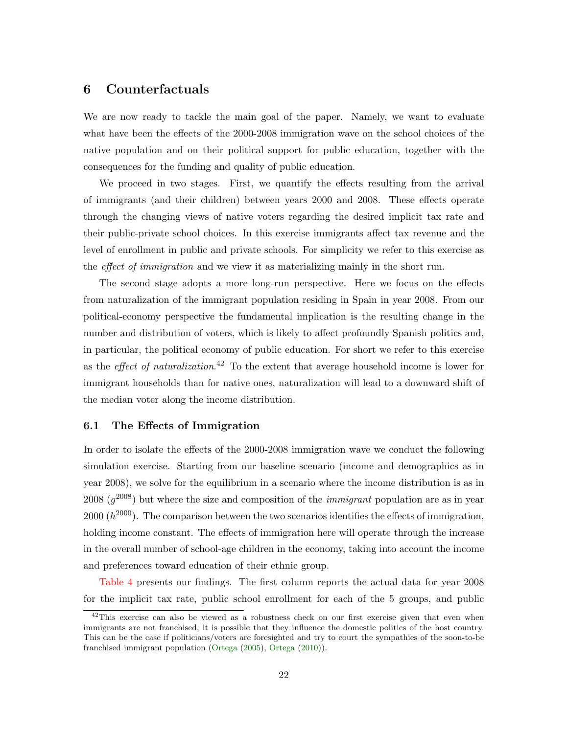## <span id="page-24-0"></span>6 Counterfactuals

We are now ready to tackle the main goal of the paper. Namely, we want to evaluate what have been the effects of the 2000-2008 immigration wave on the school choices of the native population and on their political support for public education, together with the consequences for the funding and quality of public education.

We proceed in two stages. First, we quantify the effects resulting from the arrival of immigrants (and their children) between years 2000 and 2008. These effects operate through the changing views of native voters regarding the desired implicit tax rate and their public-private school choices. In this exercise immigrants affect tax revenue and the level of enrollment in public and private schools. For simplicity we refer to this exercise as the effect of immigration and we view it as materializing mainly in the short run.

The second stage adopts a more long-run perspective. Here we focus on the effects from naturalization of the immigrant population residing in Spain in year 2008. From our political-economy perspective the fundamental implication is the resulting change in the number and distribution of voters, which is likely to affect profoundly Spanish politics and, in particular, the political economy of public education. For short we refer to this exercise as the *effect of naturalization*.<sup>42</sup> To the extent that average household income is lower for immigrant households than for native ones, naturalization will lead to a downward shift of the median voter along the income distribution.

#### 6.1 The Effects of Immigration

In order to isolate the effects of the 2000-2008 immigration wave we conduct the following simulation exercise. Starting from our baseline scenario (income and demographics as in year 2008), we solve for the equilibrium in a scenario where the income distribution is as in 2008  $(g^{2008})$  but where the size and composition of the *immigrant* population are as in year 2000  $(h^{2000})$ . The comparison between the two scenarios identifies the effects of immigration, holding income constant. The effects of immigration here will operate through the increase in the overall number of school-age children in the economy, taking into account the income and preferences toward education of their ethnic group.

[Table 4](#page-41-0) presents our findings. The first column reports the actual data for year 2008 for the implicit tax rate, public school enrollment for each of the 5 groups, and public

 $^{42}$ This exercise can also be viewed as a robustness check on our first exercise given that even when immigrants are not franchised, it is possible that they influence the domestic politics of the host country. This can be the case if politicians/voters are foresighted and try to court the sympathies of the soon-to-be franchised immigrant population [\(Ortega](#page-37-17) [\(2005\)](#page-37-17), [Ortega](#page-37-10) [\(2010\)](#page-37-10)).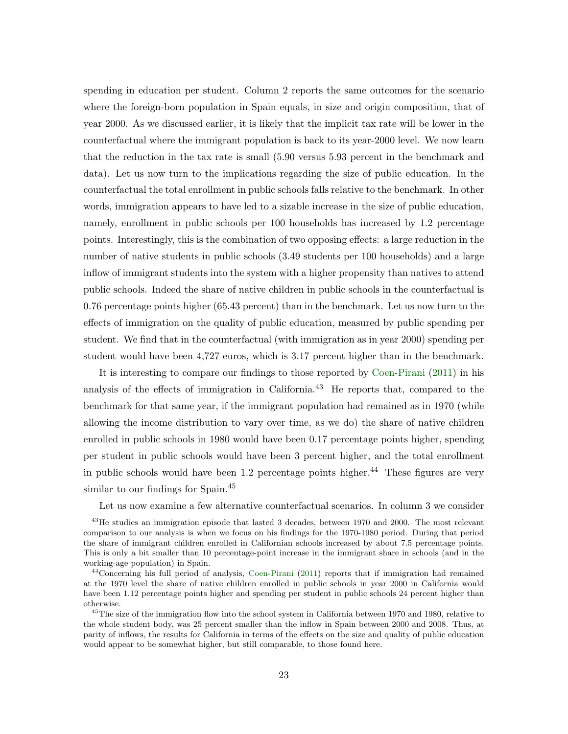spending in education per student. Column 2 reports the same outcomes for the scenario where the foreign-born population in Spain equals, in size and origin composition, that of year 2000. As we discussed earlier, it is likely that the implicit tax rate will be lower in the counterfactual where the immigrant population is back to its year-2000 level. We now learn that the reduction in the tax rate is small (5.90 versus 5.93 percent in the benchmark and data). Let us now turn to the implications regarding the size of public education. In the counterfactual the total enrollment in public schools falls relative to the benchmark. In other words, immigration appears to have led to a sizable increase in the size of public education, namely, enrollment in public schools per 100 households has increased by 1.2 percentage points. Interestingly, this is the combination of two opposing effects: a large reduction in the number of native students in public schools (3.49 students per 100 households) and a large inflow of immigrant students into the system with a higher propensity than natives to attend public schools. Indeed the share of native children in public schools in the counterfactual is 0.76 percentage points higher (65.43 percent) than in the benchmark. Let us now turn to the effects of immigration on the quality of public education, measured by public spending per student. We find that in the counterfactual (with immigration as in year 2000) spending per student would have been 4,727 euros, which is 3.17 percent higher than in the benchmark.

It is interesting to compare our findings to those reported by [Coen-Pirani](#page-36-0) [\(2011\)](#page-36-0) in his analysis of the effects of immigration in California.<sup>43</sup> He reports that, compared to the benchmark for that same year, if the immigrant population had remained as in 1970 (while allowing the income distribution to vary over time, as we do) the share of native children enrolled in public schools in 1980 would have been 0.17 percentage points higher, spending per student in public schools would have been 3 percent higher, and the total enrollment in public schools would have been 1.2 percentage points higher.<sup>44</sup> These figures are very similar to our findings for Spain.<sup>45</sup>

Let us now examine a few alternative counterfactual scenarios. In column 3 we consider

<sup>&</sup>lt;sup>43</sup>He studies an immigration episode that lasted 3 decades, between 1970 and 2000. The most relevant comparison to our analysis is when we focus on his findings for the 1970-1980 period. During that period the share of immigrant children enrolled in Californian schools increased by about 7.5 percentage points. This is only a bit smaller than 10 percentage-point increase in the immigrant share in schools (and in the working-age population) in Spain.

<sup>&</sup>lt;sup>44</sup>Concerning his full period of analysis, [Coen-Pirani](#page-36-0) [\(2011\)](#page-36-0) reports that if immigration had remained at the 1970 level the share of native children enrolled in public schools in year 2000 in California would have been 1.12 percentage points higher and spending per student in public schools 24 percent higher than otherwise.

<sup>&</sup>lt;sup>45</sup>The size of the immigration flow into the school system in California between 1970 and 1980, relative to the whole student body, was 25 percent smaller than the inflow in Spain between 2000 and 2008. Thus, at parity of inflows, the results for California in terms of the effects on the size and quality of public education would appear to be somewhat higher, but still comparable, to those found here.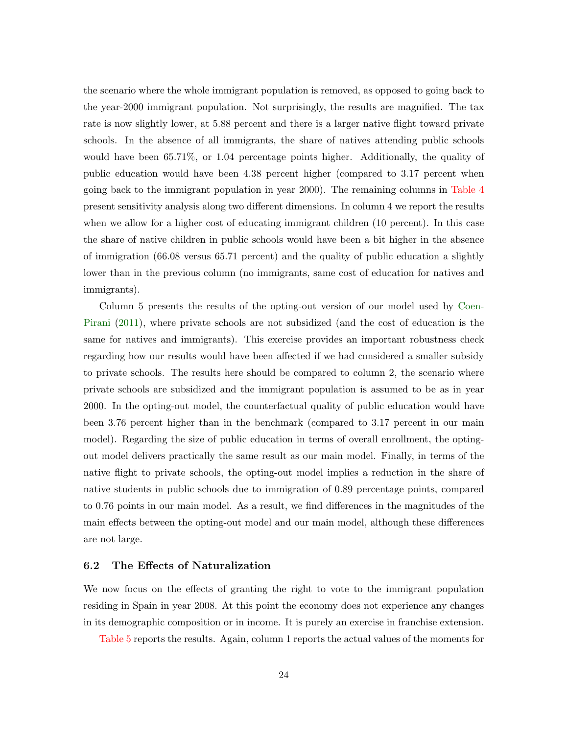the scenario where the whole immigrant population is removed, as opposed to going back to the year-2000 immigrant population. Not surprisingly, the results are magnified. The tax rate is now slightly lower, at 5.88 percent and there is a larger native flight toward private schools. In the absence of all immigrants, the share of natives attending public schools would have been 65.71%, or 1.04 percentage points higher. Additionally, the quality of public education would have been 4.38 percent higher (compared to 3.17 percent when going back to the immigrant population in year 2000). The remaining columns in [Table 4](#page-41-0) present sensitivity analysis along two different dimensions. In column 4 we report the results when we allow for a higher cost of educating immigrant children (10 percent). In this case the share of native children in public schools would have been a bit higher in the absence of immigration (66.08 versus 65.71 percent) and the quality of public education a slightly lower than in the previous column (no immigrants, same cost of education for natives and immigrants).

Column 5 presents the results of the opting-out version of our model used by [Coen-](#page-36-0)[Pirani](#page-36-0) [\(2011\)](#page-36-0), where private schools are not subsidized (and the cost of education is the same for natives and immigrants). This exercise provides an important robustness check regarding how our results would have been affected if we had considered a smaller subsidy to private schools. The results here should be compared to column 2, the scenario where private schools are subsidized and the immigrant population is assumed to be as in year 2000. In the opting-out model, the counterfactual quality of public education would have been 3.76 percent higher than in the benchmark (compared to 3.17 percent in our main model). Regarding the size of public education in terms of overall enrollment, the optingout model delivers practically the same result as our main model. Finally, in terms of the native flight to private schools, the opting-out model implies a reduction in the share of native students in public schools due to immigration of 0.89 percentage points, compared to 0.76 points in our main model. As a result, we find differences in the magnitudes of the main effects between the opting-out model and our main model, although these differences are not large.

#### 6.2 The Effects of Naturalization

We now focus on the effects of granting the right to vote to the immigrant population residing in Spain in year 2008. At this point the economy does not experience any changes in its demographic composition or in income. It is purely an exercise in franchise extension.

[Table 5](#page-42-0) reports the results. Again, column 1 reports the actual values of the moments for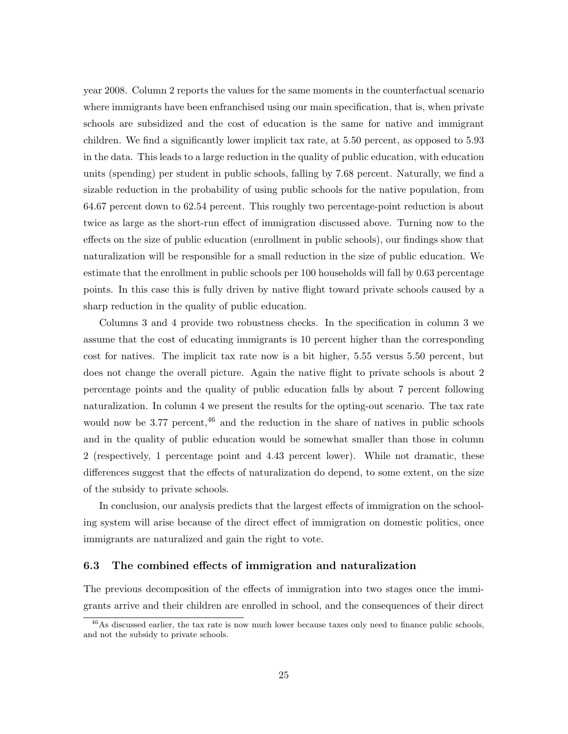year 2008. Column 2 reports the values for the same moments in the counterfactual scenario where immigrants have been enfranchised using our main specification, that is, when private schools are subsidized and the cost of education is the same for native and immigrant children. We find a significantly lower implicit tax rate, at 5.50 percent, as opposed to 5.93 in the data. This leads to a large reduction in the quality of public education, with education units (spending) per student in public schools, falling by 7.68 percent. Naturally, we find a sizable reduction in the probability of using public schools for the native population, from 64.67 percent down to 62.54 percent. This roughly two percentage-point reduction is about twice as large as the short-run effect of immigration discussed above. Turning now to the effects on the size of public education (enrollment in public schools), our findings show that naturalization will be responsible for a small reduction in the size of public education. We estimate that the enrollment in public schools per 100 households will fall by 0.63 percentage points. In this case this is fully driven by native flight toward private schools caused by a sharp reduction in the quality of public education.

Columns 3 and 4 provide two robustness checks. In the specification in column 3 we assume that the cost of educating immigrants is 10 percent higher than the corresponding cost for natives. The implicit tax rate now is a bit higher, 5.55 versus 5.50 percent, but does not change the overall picture. Again the native flight to private schools is about 2 percentage points and the quality of public education falls by about 7 percent following naturalization. In column 4 we present the results for the opting-out scenario. The tax rate would now be 3.77 percent,  $46$  and the reduction in the share of natives in public schools and in the quality of public education would be somewhat smaller than those in column 2 (respectively, 1 percentage point and 4.43 percent lower). While not dramatic, these differences suggest that the effects of naturalization do depend, to some extent, on the size of the subsidy to private schools.

In conclusion, our analysis predicts that the largest effects of immigration on the schooling system will arise because of the direct effect of immigration on domestic politics, once immigrants are naturalized and gain the right to vote.

#### 6.3 The combined effects of immigration and naturalization

The previous decomposition of the effects of immigration into two stages once the immigrants arrive and their children are enrolled in school, and the consequences of their direct

<sup>&</sup>lt;sup>46</sup>As discussed earlier, the tax rate is now much lower because taxes only need to finance public schools, and not the subsidy to private schools.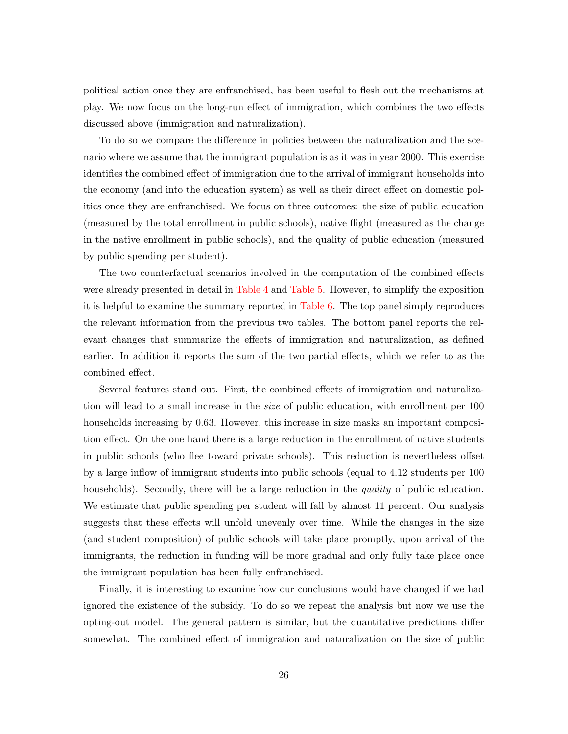political action once they are enfranchised, has been useful to flesh out the mechanisms at play. We now focus on the long-run effect of immigration, which combines the two effects discussed above (immigration and naturalization).

To do so we compare the difference in policies between the naturalization and the scenario where we assume that the immigrant population is as it was in year 2000. This exercise identifies the combined effect of immigration due to the arrival of immigrant households into the economy (and into the education system) as well as their direct effect on domestic politics once they are enfranchised. We focus on three outcomes: the size of public education (measured by the total enrollment in public schools), native flight (measured as the change in the native enrollment in public schools), and the quality of public education (measured by public spending per student).

The two counterfactual scenarios involved in the computation of the combined effects were already presented in detail in [Table 4](#page-41-0) and [Table 5.](#page-42-0) However, to simplify the exposition it is helpful to examine the summary reported in [Table 6.](#page-43-0) The top panel simply reproduces the relevant information from the previous two tables. The bottom panel reports the relevant changes that summarize the effects of immigration and naturalization, as defined earlier. In addition it reports the sum of the two partial effects, which we refer to as the combined effect.

Several features stand out. First, the combined effects of immigration and naturalization will lead to a small increase in the size of public education, with enrollment per 100 households increasing by 0.63. However, this increase in size masks an important composition effect. On the one hand there is a large reduction in the enrollment of native students in public schools (who flee toward private schools). This reduction is nevertheless offset by a large inflow of immigrant students into public schools (equal to 4.12 students per 100 households). Secondly, there will be a large reduction in the *quality* of public education. We estimate that public spending per student will fall by almost 11 percent. Our analysis suggests that these effects will unfold unevenly over time. While the changes in the size (and student composition) of public schools will take place promptly, upon arrival of the immigrants, the reduction in funding will be more gradual and only fully take place once the immigrant population has been fully enfranchised.

Finally, it is interesting to examine how our conclusions would have changed if we had ignored the existence of the subsidy. To do so we repeat the analysis but now we use the opting-out model. The general pattern is similar, but the quantitative predictions differ somewhat. The combined effect of immigration and naturalization on the size of public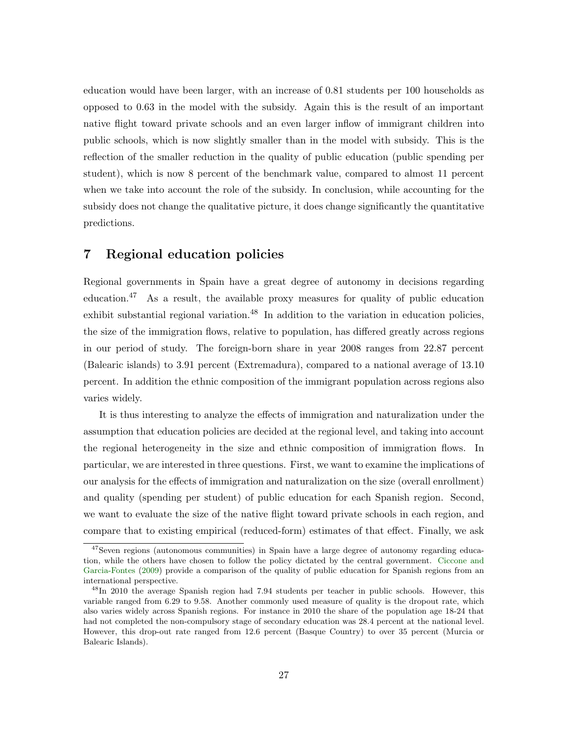education would have been larger, with an increase of 0.81 students per 100 households as opposed to 0.63 in the model with the subsidy. Again this is the result of an important native flight toward private schools and an even larger inflow of immigrant children into public schools, which is now slightly smaller than in the model with subsidy. This is the reflection of the smaller reduction in the quality of public education (public spending per student), which is now 8 percent of the benchmark value, compared to almost 11 percent when we take into account the role of the subsidy. In conclusion, while accounting for the subsidy does not change the qualitative picture, it does change significantly the quantitative predictions.

## <span id="page-29-0"></span>7 Regional education policies

Regional governments in Spain have a great degree of autonomy in decisions regarding education.<sup>47</sup> As a result, the available proxy measures for quality of public education exhibit substantial regional variation. $48$  In addition to the variation in education policies, the size of the immigration flows, relative to population, has differed greatly across regions in our period of study. The foreign-born share in year 2008 ranges from 22.87 percent (Balearic islands) to 3.91 percent (Extremadura), compared to a national average of 13.10 percent. In addition the ethnic composition of the immigrant population across regions also varies widely.

It is thus interesting to analyze the effects of immigration and naturalization under the assumption that education policies are decided at the regional level, and taking into account the regional heterogeneity in the size and ethnic composition of immigration flows. In particular, we are interested in three questions. First, we want to examine the implications of our analysis for the effects of immigration and naturalization on the size (overall enrollment) and quality (spending per student) of public education for each Spanish region. Second, we want to evaluate the size of the native flight toward private schools in each region, and compare that to existing empirical (reduced-form) estimates of that effect. Finally, we ask

<sup>&</sup>lt;sup>47</sup>Seven regions (autonomous communities) in Spain have a large degree of autonomy regarding education, while the others have chosen to follow the policy dictated by the central government. [Ciccone and](#page-36-11) [Garcia-Fontes](#page-36-11) [\(2009\)](#page-36-11) provide a comparison of the quality of public education for Spanish regions from an international perspective.

<sup>&</sup>lt;sup>48</sup>In 2010 the average Spanish region had 7.94 students per teacher in public schools. However, this variable ranged from 6.29 to 9.58. Another commonly used measure of quality is the dropout rate, which also varies widely across Spanish regions. For instance in 2010 the share of the population age 18-24 that had not completed the non-compulsory stage of secondary education was 28.4 percent at the national level. However, this drop-out rate ranged from 12.6 percent (Basque Country) to over 35 percent (Murcia or Balearic Islands).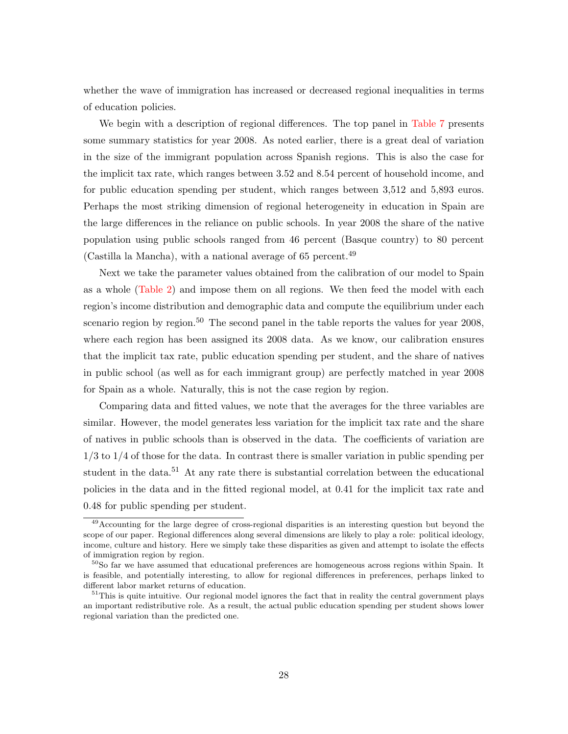whether the wave of immigration has increased or decreased regional inequalities in terms of education policies.

We begin with a description of regional differences. The top panel in [Table 7](#page-44-0) presents some summary statistics for year 2008. As noted earlier, there is a great deal of variation in the size of the immigrant population across Spanish regions. This is also the case for the implicit tax rate, which ranges between 3.52 and 8.54 percent of household income, and for public education spending per student, which ranges between 3,512 and 5,893 euros. Perhaps the most striking dimension of regional heterogeneity in education in Spain are the large differences in the reliance on public schools. In year 2008 the share of the native population using public schools ranged from 46 percent (Basque country) to 80 percent (Castilla la Mancha), with a national average of 65 percent.<sup>49</sup>

Next we take the parameter values obtained from the calibration of our model to Spain as a whole [\(Table 2\)](#page-39-0) and impose them on all regions. We then feed the model with each region's income distribution and demographic data and compute the equilibrium under each scenario region by region.<sup>50</sup> The second panel in the table reports the values for year 2008, where each region has been assigned its 2008 data. As we know, our calibration ensures that the implicit tax rate, public education spending per student, and the share of natives in public school (as well as for each immigrant group) are perfectly matched in year 2008 for Spain as a whole. Naturally, this is not the case region by region.

Comparing data and fitted values, we note that the averages for the three variables are similar. However, the model generates less variation for the implicit tax rate and the share of natives in public schools than is observed in the data. The coefficients of variation are 1/3 to 1/4 of those for the data. In contrast there is smaller variation in public spending per student in the data.<sup>51</sup> At any rate there is substantial correlation between the educational policies in the data and in the fitted regional model, at 0.41 for the implicit tax rate and 0.48 for public spending per student.

<sup>&</sup>lt;sup>49</sup> Accounting for the large degree of cross-regional disparities is an interesting question but beyond the scope of our paper. Regional differences along several dimensions are likely to play a role: political ideology, income, culture and history. Here we simply take these disparities as given and attempt to isolate the effects of immigration region by region.

 $50S$  far we have assumed that educational preferences are homogeneous across regions within Spain. It is feasible, and potentially interesting, to allow for regional differences in preferences, perhaps linked to different labor market returns of education.

<sup>&</sup>lt;sup>51</sup>This is quite intuitive. Our regional model ignores the fact that in reality the central government plays an important redistributive role. As a result, the actual public education spending per student shows lower regional variation than the predicted one.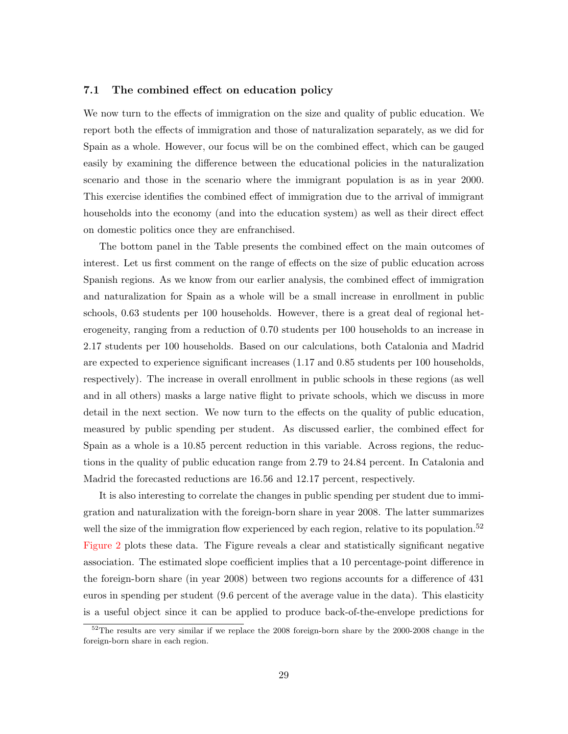#### 7.1 The combined effect on education policy

We now turn to the effects of immigration on the size and quality of public education. We report both the effects of immigration and those of naturalization separately, as we did for Spain as a whole. However, our focus will be on the combined effect, which can be gauged easily by examining the difference between the educational policies in the naturalization scenario and those in the scenario where the immigrant population is as in year 2000. This exercise identifies the combined effect of immigration due to the arrival of immigrant households into the economy (and into the education system) as well as their direct effect on domestic politics once they are enfranchised.

The bottom panel in the Table presents the combined effect on the main outcomes of interest. Let us first comment on the range of effects on the size of public education across Spanish regions. As we know from our earlier analysis, the combined effect of immigration and naturalization for Spain as a whole will be a small increase in enrollment in public schools, 0.63 students per 100 households. However, there is a great deal of regional heterogeneity, ranging from a reduction of 0.70 students per 100 households to an increase in 2.17 students per 100 households. Based on our calculations, both Catalonia and Madrid are expected to experience significant increases (1.17 and 0.85 students per 100 households, respectively). The increase in overall enrollment in public schools in these regions (as well and in all others) masks a large native flight to private schools, which we discuss in more detail in the next section. We now turn to the effects on the quality of public education, measured by public spending per student. As discussed earlier, the combined effect for Spain as a whole is a 10.85 percent reduction in this variable. Across regions, the reductions in the quality of public education range from 2.79 to 24.84 percent. In Catalonia and Madrid the forecasted reductions are 16.56 and 12.17 percent, respectively.

It is also interesting to correlate the changes in public spending per student due to immigration and naturalization with the foreign-born share in year 2008. The latter summarizes well the size of the immigration flow experienced by each region, relative to its population.<sup>52</sup> [Figure 2](#page-46-0) plots these data. The Figure reveals a clear and statistically significant negative association. The estimated slope coefficient implies that a 10 percentage-point difference in the foreign-born share (in year 2008) between two regions accounts for a difference of 431 euros in spending per student (9.6 percent of the average value in the data). This elasticity is a useful object since it can be applied to produce back-of-the-envelope predictions for

<sup>&</sup>lt;sup>52</sup>The results are very similar if we replace the 2008 foreign-born share by the 2000-2008 change in the foreign-born share in each region.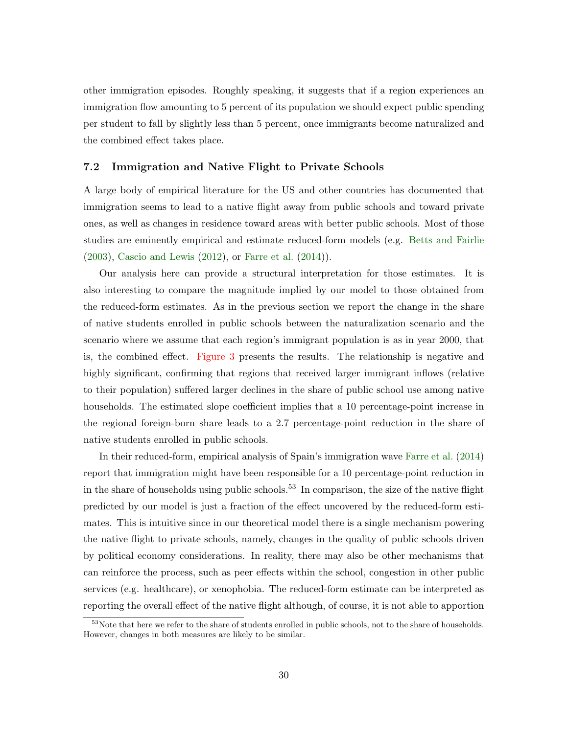other immigration episodes. Roughly speaking, it suggests that if a region experiences an immigration flow amounting to 5 percent of its population we should expect public spending per student to fall by slightly less than 5 percent, once immigrants become naturalized and the combined effect takes place.

#### 7.2 Immigration and Native Flight to Private Schools

A large body of empirical literature for the US and other countries has documented that immigration seems to lead to a native flight away from public schools and toward private ones, as well as changes in residence toward areas with better public schools. Most of those studies are eminently empirical and estimate reduced-form models (e.g. [Betts and Fairlie](#page-36-12) [\(2003\)](#page-36-12), [Cascio and Lewis](#page-36-13) [\(2012\)](#page-36-13), or [Farre et al.](#page-37-14) [\(2014\)](#page-37-14)).

Our analysis here can provide a structural interpretation for those estimates. It is also interesting to compare the magnitude implied by our model to those obtained from the reduced-form estimates. As in the previous section we report the change in the share of native students enrolled in public schools between the naturalization scenario and the scenario where we assume that each region's immigrant population is as in year 2000, that is, the combined effect. [Figure 3](#page-46-1) presents the results. The relationship is negative and highly significant, confirming that regions that received larger immigrant inflows (relative to their population) suffered larger declines in the share of public school use among native households. The estimated slope coefficient implies that a 10 percentage-point increase in the regional foreign-born share leads to a 2.7 percentage-point reduction in the share of native students enrolled in public schools.

In their reduced-form, empirical analysis of Spain's immigration wave [Farre et al.](#page-37-14) [\(2014\)](#page-37-14) report that immigration might have been responsible for a 10 percentage-point reduction in in the share of households using public schools.<sup>53</sup> In comparison, the size of the native flight predicted by our model is just a fraction of the effect uncovered by the reduced-form estimates. This is intuitive since in our theoretical model there is a single mechanism powering the native flight to private schools, namely, changes in the quality of public schools driven by political economy considerations. In reality, there may also be other mechanisms that can reinforce the process, such as peer effects within the school, congestion in other public services (e.g. healthcare), or xenophobia. The reduced-form estimate can be interpreted as reporting the overall effect of the native flight although, of course, it is not able to apportion

<sup>53</sup>Note that here we refer to the share of students enrolled in public schools, not to the share of households. However, changes in both measures are likely to be similar.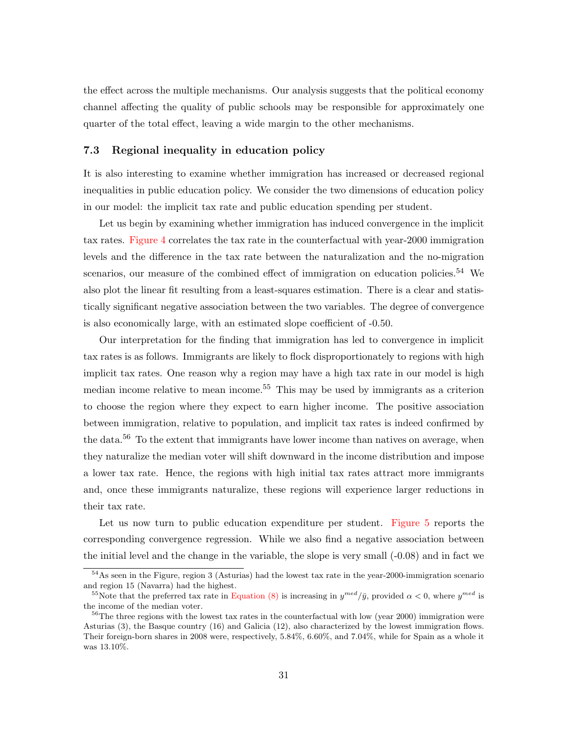the effect across the multiple mechanisms. Our analysis suggests that the political economy channel affecting the quality of public schools may be responsible for approximately one quarter of the total effect, leaving a wide margin to the other mechanisms.

#### 7.3 Regional inequality in education policy

It is also interesting to examine whether immigration has increased or decreased regional inequalities in public education policy. We consider the two dimensions of education policy in our model: the implicit tax rate and public education spending per student.

Let us begin by examining whether immigration has induced convergence in the implicit tax rates. [Figure 4](#page-47-0) correlates the tax rate in the counterfactual with year-2000 immigration levels and the difference in the tax rate between the naturalization and the no-migration scenarios, our measure of the combined effect of immigration on education policies.<sup>54</sup> We also plot the linear fit resulting from a least-squares estimation. There is a clear and statistically significant negative association between the two variables. The degree of convergence is also economically large, with an estimated slope coefficient of -0.50.

Our interpretation for the finding that immigration has led to convergence in implicit tax rates is as follows. Immigrants are likely to flock disproportionately to regions with high implicit tax rates. One reason why a region may have a high tax rate in our model is high median income relative to mean income.<sup>55</sup> This may be used by immigrants as a criterion to choose the region where they expect to earn higher income. The positive association between immigration, relative to population, and implicit tax rates is indeed confirmed by the data.<sup>56</sup> To the extent that immigrants have lower income than natives on average, when they naturalize the median voter will shift downward in the income distribution and impose a lower tax rate. Hence, the regions with high initial tax rates attract more immigrants and, once these immigrants naturalize, these regions will experience larger reductions in their tax rate.

Let us now turn to public education expenditure per student. [Figure 5](#page-47-1) reports the corresponding convergence regression. While we also find a negative association between the initial level and the change in the variable, the slope is very small  $(-0.08)$  and in fact we

<sup>&</sup>lt;sup>54</sup>As seen in the Figure, region 3 (Asturias) had the lowest tax rate in the year-2000-immigration scenario and region 15 (Navarra) had the highest.

<sup>&</sup>lt;sup>55</sup>Note that the preferred tax rate in [Equation \(8\)](#page-16-0) is increasing in  $y^{med}/\bar{y}$ , provided  $\alpha < 0$ , where  $y^{med}$  is the income of the median voter.

 $56$ The three regions with the lowest tax rates in the counterfactual with low (year 2000) immigration were Asturias (3), the Basque country (16) and Galicia (12), also characterized by the lowest immigration flows. Their foreign-born shares in 2008 were, respectively, 5.84%, 6.60%, and 7.04%, while for Spain as a whole it was 13.10%.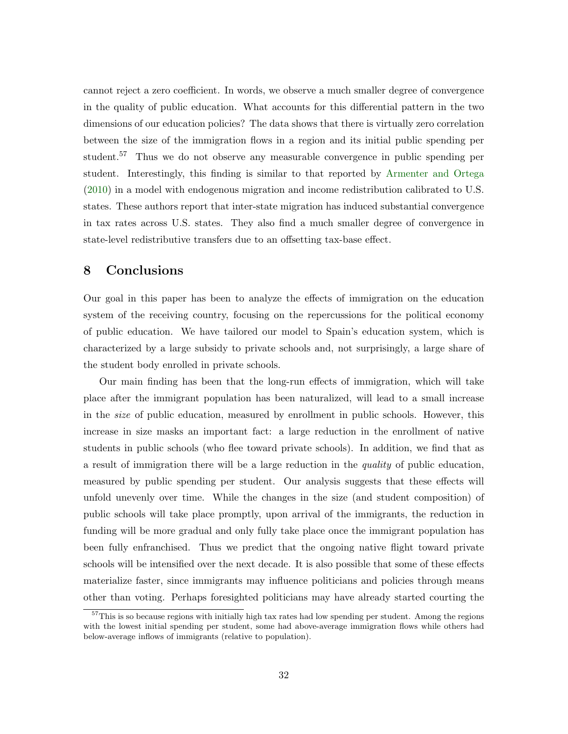cannot reject a zero coefficient. In words, we observe a much smaller degree of convergence in the quality of public education. What accounts for this differential pattern in the two dimensions of our education policies? The data shows that there is virtually zero correlation between the size of the immigration flows in a region and its initial public spending per student.<sup>57</sup> Thus we do not observe any measurable convergence in public spending per student. Interestingly, this finding is similar to that reported by [Armenter and Ortega](#page-36-14) [\(2010\)](#page-36-14) in a model with endogenous migration and income redistribution calibrated to U.S. states. These authors report that inter-state migration has induced substantial convergence in tax rates across U.S. states. They also find a much smaller degree of convergence in state-level redistributive transfers due to an offsetting tax-base effect.

## <span id="page-34-0"></span>8 Conclusions

Our goal in this paper has been to analyze the effects of immigration on the education system of the receiving country, focusing on the repercussions for the political economy of public education. We have tailored our model to Spain's education system, which is characterized by a large subsidy to private schools and, not surprisingly, a large share of the student body enrolled in private schools.

Our main finding has been that the long-run effects of immigration, which will take place after the immigrant population has been naturalized, will lead to a small increase in the size of public education, measured by enrollment in public schools. However, this increase in size masks an important fact: a large reduction in the enrollment of native students in public schools (who flee toward private schools). In addition, we find that as a result of immigration there will be a large reduction in the quality of public education, measured by public spending per student. Our analysis suggests that these effects will unfold unevenly over time. While the changes in the size (and student composition) of public schools will take place promptly, upon arrival of the immigrants, the reduction in funding will be more gradual and only fully take place once the immigrant population has been fully enfranchised. Thus we predict that the ongoing native flight toward private schools will be intensified over the next decade. It is also possible that some of these effects materialize faster, since immigrants may influence politicians and policies through means other than voting. Perhaps foresighted politicians may have already started courting the

 $57$ This is so because regions with initially high tax rates had low spending per student. Among the regions with the lowest initial spending per student, some had above-average immigration flows while others had below-average inflows of immigrants (relative to population).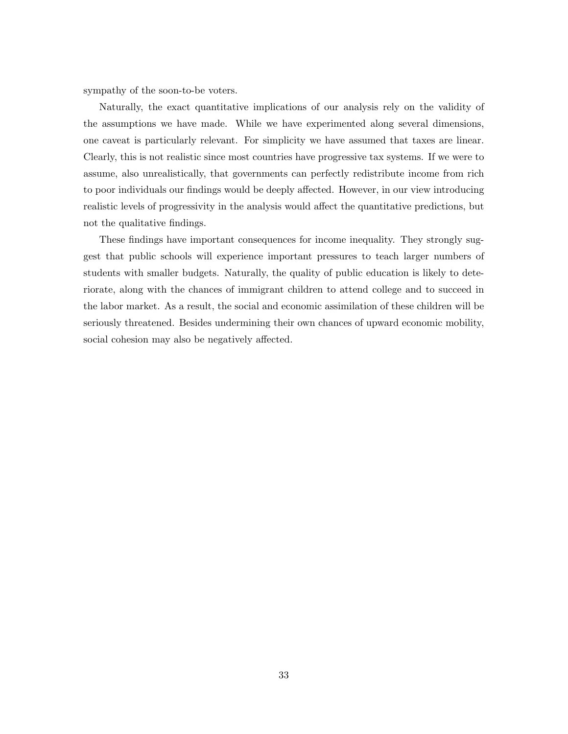sympathy of the soon-to-be voters.

Naturally, the exact quantitative implications of our analysis rely on the validity of the assumptions we have made. While we have experimented along several dimensions, one caveat is particularly relevant. For simplicity we have assumed that taxes are linear. Clearly, this is not realistic since most countries have progressive tax systems. If we were to assume, also unrealistically, that governments can perfectly redistribute income from rich to poor individuals our findings would be deeply affected. However, in our view introducing realistic levels of progressivity in the analysis would affect the quantitative predictions, but not the qualitative findings.

These findings have important consequences for income inequality. They strongly suggest that public schools will experience important pressures to teach larger numbers of students with smaller budgets. Naturally, the quality of public education is likely to deteriorate, along with the chances of immigrant children to attend college and to succeed in the labor market. As a result, the social and economic assimilation of these children will be seriously threatened. Besides undermining their own chances of upward economic mobility, social cohesion may also be negatively affected.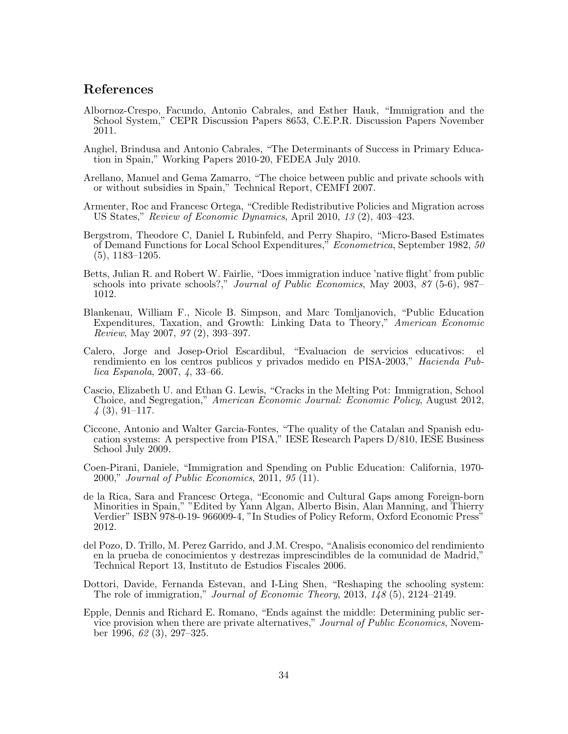## References

- <span id="page-36-3"></span>Albornoz-Crespo, Facundo, Antonio Cabrales, and Esther Hauk, "Immigration and the School System," CEPR Discussion Papers 8653, C.E.P.R. Discussion Papers November 2011.
- <span id="page-36-7"></span>Anghel, Brindusa and Antonio Cabrales, "The Determinants of Success in Primary Education in Spain," Working Papers 2010-20, FEDEA July 2010.
- <span id="page-36-5"></span>Arellano, Manuel and Gema Zamarro, "The choice between public and private schools with or without subsidies in Spain," Technical Report, CEMFI 2007.
- <span id="page-36-14"></span>Armenter, Roc and Francesc Ortega, "Credible Redistributive Policies and Migration across US States," Review of Economic Dynamics, April 2010, 13 (2), 403–423.
- <span id="page-36-10"></span>Bergstrom, Theodore C, Daniel L Rubinfeld, and Perry Shapiro, "Micro-Based Estimates of Demand Functions for Local School Expenditures," Econometrica, September 1982, 50 (5), 1183–1205.
- <span id="page-36-12"></span>Betts, Julian R. and Robert W. Fairlie, "Does immigration induce 'native flight' from public schools into private schools?," *Journal of Public Economics*, May 2003, 87 (5-6), 987– 1012.
- <span id="page-36-2"></span>Blankenau, William F., Nicole B. Simpson, and Marc Tomljanovich, "Public Education Expenditures, Taxation, and Growth: Linking Data to Theory," American Economic Review, May 2007, 97 (2), 393–397.
- <span id="page-36-6"></span>Calero, Jorge and Josep-Oriol Escardibul, "Evaluacion de servicios educativos: el rendimiento en los centros publicos y privados medido en PISA-2003," Hacienda Publica Espanola, 2007, 4, 33–66.
- <span id="page-36-13"></span>Cascio, Elizabeth U. and Ethan G. Lewis, "Cracks in the Melting Pot: Immigration, School Choice, and Segregation," American Economic Journal: Economic Policy, August 2012,  $\downarrow$  (3), 91–117.
- <span id="page-36-11"></span>Ciccone, Antonio and Walter Garcia-Fontes, "The quality of the Catalan and Spanish education systems: A perspective from PISA," IESE Research Papers D/810, IESE Business School July 2009.
- <span id="page-36-0"></span>Coen-Pirani, Daniele, "Immigration and Spending on Public Education: California, 1970- 2000," Journal of Public Economics, 2011, 95 (11).
- <span id="page-36-8"></span>de la Rica, Sara and Francesc Ortega, "Economic and Cultural Gaps among Foreign-born Minorities in Spain," "Edited by Yann Algan, Alberto Bisin, Alan Manning, and Thierry Verdier" ISBN 978-0-19- 966009-4, "In Studies of Policy Reform, Oxford Economic Press" 2012.
- <span id="page-36-4"></span>del Pozo, D. Trillo, M. Perez Garrido, and J.M. Crespo, "Analisis economico del rendimiento en la prueba de conocimientos y destrezas imprescindibles de la comunidad de Madrid," Technical Report 13, Instituto de Estudios Fiscales 2006.
- <span id="page-36-1"></span>Dottori, Davide, Fernanda Estevan, and I-Ling Shen, "Reshaping the schooling system: The role of immigration," Journal of Economic Theory, 2013, 148 (5), 2124–2149.
- <span id="page-36-9"></span>Epple, Dennis and Richard E. Romano, "Ends against the middle: Determining public service provision when there are private alternatives," Journal of Public Economics, November 1996, 62 (3), 297–325.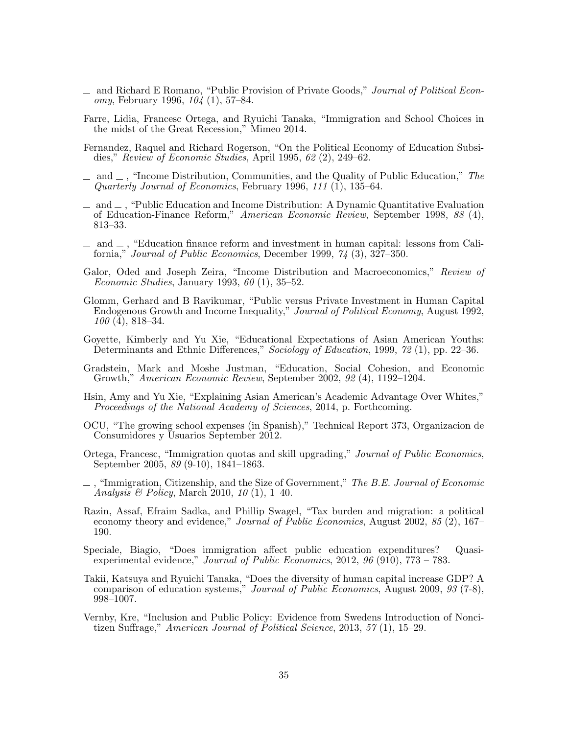- <span id="page-37-0"></span>and Richard E Romano, "Public Provision of Private Goods," Journal of Political Economy, February 1996, 104 (1), 57–84.
- <span id="page-37-14"></span>Farre, Lidia, Francesc Ortega, and Ryuichi Tanaka, "Immigration and School Choices in the midst of the Great Recession," Mimeo 2014.
- <span id="page-37-11"></span>Fernandez, Raquel and Richard Rogerson, "On the Political Economy of Education Subsidies," Review of Economic Studies, April 1995, 62 (2), 249–62.
- <span id="page-37-4"></span> $\Box$  and  $\Box$ , "Income Distribution, Communities, and the Quality of Public Education," The Quarterly Journal of Economics, February 1996, 111 (1), 135–64.
- <span id="page-37-16"></span> $\Box$  and  $\Box$ , "Public Education and Income Distribution: A Dynamic Quantitative Evaluation of Education-Finance Reform," American Economic Review, September 1998, 88 (4), 813–33.
- <span id="page-37-12"></span> $\Box$  and  $\Box$ , "Education finance reform and investment in human capital: lessons from California," Journal of Public Economics, December 1999, 74 (3), 327–350.
- <span id="page-37-3"></span>Galor, Oded and Joseph Zeira, "Income Distribution and Macroeconomics," Review of *Economic Studies*, January 1993,  $60$  (1), 35–52.
- <span id="page-37-2"></span>Glomm, Gerhard and B Ravikumar, "Public versus Private Investment in Human Capital Endogenous Growth and Income Inequality," Journal of Political Economy, August 1992, 100 (4), 818–34.
- <span id="page-37-1"></span>Goyette, Kimberly and Yu Xie, "Educational Expectations of Asian American Youths: Determinants and Ethnic Differences," Sociology of Education, 1999, 72 (1), pp. 22–36.
- <span id="page-37-5"></span>Gradstein, Mark and Moshe Justman, "Education, Social Cohesion, and Economic Growth," American Economic Review, September 2002, 92 (4), 1192–1204.
- <span id="page-37-7"></span>Hsin, Amy and Yu Xie, "Explaining Asian American's Academic Advantage Over Whites," Proceedings of the National Academy of Sciences, 2014, p. Forthcoming.
- <span id="page-37-13"></span>OCU, "The growing school expenses (in Spanish)," Technical Report 373, Organizacion de Consumidores y Usuarios September 2012.
- <span id="page-37-17"></span>Ortega, Francesc, "Immigration quotas and skill upgrading," Journal of Public Economics, September 2005, 89 (9-10), 1841–1863.
- <span id="page-37-10"></span> $\Box$ , "Immigration, Citizenship, and the Size of Government," The B.E. Journal of Economic Analysis & Policy, March 2010, 10 (1), 1–40.
- <span id="page-37-8"></span>Razin, Assaf, Efraim Sadka, and Phillip Swagel, "Tax burden and migration: a political economy theory and evidence," Journal of Public Economics, August 2002, 85 (2), 167– 190.
- <span id="page-37-9"></span>Speciale, Biagio, "Does immigration affect public education expenditures? Quasiexperimental evidence," Journal of Public Economics, 2012, 96 (910), 773 – 783.
- <span id="page-37-6"></span>Takii, Katsuya and Ryuichi Tanaka, "Does the diversity of human capital increase GDP? A comparison of education systems," Journal of Public Economics, August 2009, 93 (7-8), 998–1007.
- <span id="page-37-15"></span>Vernby, Kre, "Inclusion and Public Policy: Evidence from Swedens Introduction of Noncitizen Suffrage," American Journal of Political Science, 2013, 57 (1), 15–29.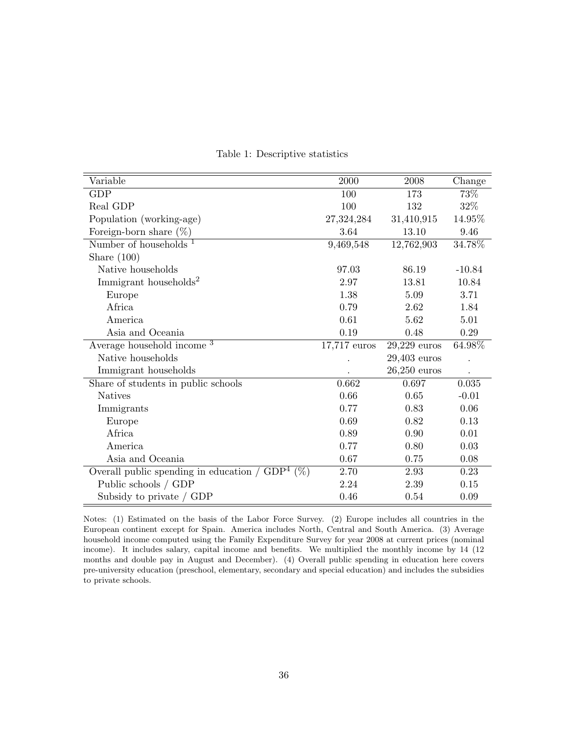<span id="page-38-0"></span>

| Variable                                          | 2000           | 2008           | Change   |
|---------------------------------------------------|----------------|----------------|----------|
| <b>GDP</b>                                        | 100            | 173            | 73%      |
| Real GDP                                          | 100            | 132            | 32\%     |
| Population (working-age)                          | 27,324,284     | 31,410,915     | 14.95%   |
| Foreign-born share $(\%)$                         | 3.64           | 13.10          | 9.46     |
| Number of households $1$                          | 9,469,548      | 12,762,903     | 34.78%   |
| Share $(100)$                                     |                |                |          |
| Native households                                 | 97.03          | 86.19          | $-10.84$ |
| Immigrant households <sup>2</sup>                 | 2.97           | 13.81          | 10.84    |
| Europe                                            | 1.38           | 5.09           | 3.71     |
| Africa                                            | 0.79           | 2.62           | 1.84     |
| America                                           | 0.61           | 5.62           | 5.01     |
| Asia and Oceania                                  | 0.19           | 0.48           | 0.29     |
| Average household income <sup>3</sup>             | $17,717$ euros | $29,229$ euros | 64.98%   |
| Native households                                 |                | $29,403$ euros |          |
| Immigrant households                              |                | $26,250$ euros |          |
| Share of students in public schools               | 0.662          | 0.697          | 0.035    |
| <b>Natives</b>                                    | 0.66           | 0.65           | $-0.01$  |
| Immigrants                                        | 0.77           | 0.83           | 0.06     |
| Europe                                            | 0.69           | 0.82           | 0.13     |
| Africa                                            | 0.89           | 0.90           | 0.01     |
| America                                           | 0.77           | 0.80           | 0.03     |
| Asia and Oceania                                  | 0.67           | 0.75           | 0.08     |
| Overall public spending in education / $GDP4$ (%) | 2.70           | 2.93           | 0.23     |
| Public schools / GDP                              | 2.24           | 2.39           | 0.15     |
| Subsidy to private / GDP                          | 0.46           | 0.54           | 0.09     |

Table 1: Descriptive statistics

Notes: (1) Estimated on the basis of the Labor Force Survey. (2) Europe includes all countries in the European continent except for Spain. America includes North, Central and South America. (3) Average household income computed using the Family Expenditure Survey for year 2008 at current prices (nominal income). It includes salary, capital income and benefits. We multiplied the monthly income by 14 (12 months and double pay in August and December). (4) Overall public spending in education here covers pre-university education (preschool, elementary, secondary and special education) and includes the subsidies to private schools.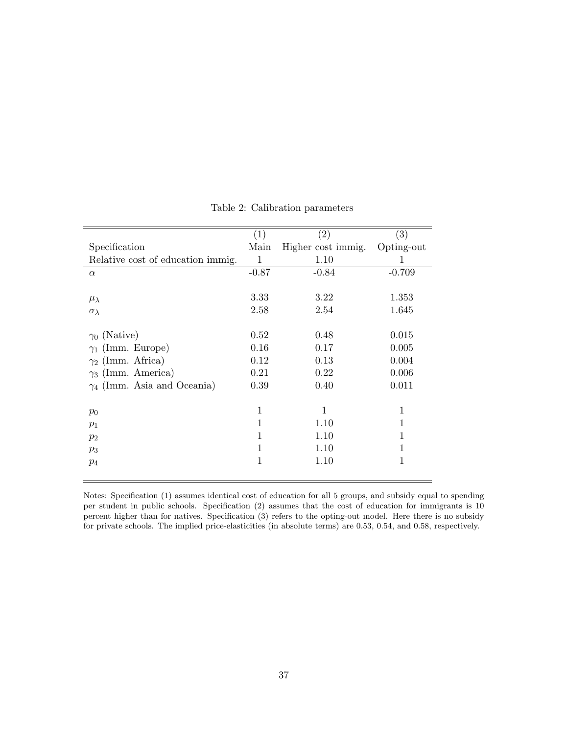<span id="page-39-0"></span>

|                                    | (1)          | $\left( 2\right)$  | $\left( 3\right)$ |
|------------------------------------|--------------|--------------------|-------------------|
| Specification                      | Main         | Higher cost immig. | Opting-out        |
| Relative cost of education immig.  | $\mathbf{1}$ | 1.10               | 1                 |
| $\alpha$                           | $-0.87$      | $-0.84$            | $-0.709$          |
|                                    |              |                    |                   |
| $\mu_{\lambda}$                    | 3.33         | 3.22               | 1.353             |
| $\sigma_{\lambda}$                 | 2.58         | 2.54               | 1.645             |
|                                    |              |                    |                   |
| $\gamma_0$ (Native)                | 0.52         | 0.48               | 0.015             |
| $\gamma_1$ (Imm. Europe)           | 0.16         | 0.17               | 0.005             |
| $\gamma_2$ (Imm. Africa)           | 0.12         | 0.13               | 0.004             |
| $\gamma_3$ (Imm. America)          | 0.21         | 0.22               | 0.006             |
| $\gamma_4$ (Imm. Asia and Oceania) | 0.39         | 0.40               | 0.011             |
|                                    |              |                    |                   |
| $p_0$                              | 1            | 1                  | 1                 |
| $p_1$                              | 1            | 1.10               | 1                 |
| $p_2$                              | 1            | 1.10               | 1                 |
| $p_3$                              | 1            | 1.10               | 1                 |
| $p_4$                              | 1            | 1.10               | 1                 |
|                                    |              |                    |                   |

Table 2: Calibration parameters

Notes: Specification (1) assumes identical cost of education for all 5 groups, and subsidy equal to spending per student in public schools. Specification (2) assumes that the cost of education for immigrants is 10 percent higher than for natives. Specification (3) refers to the opting-out model. Here there is no subsidy for private schools. The implied price-elasticities (in absolute terms) are 0.53, 0.54, and 0.58, respectively.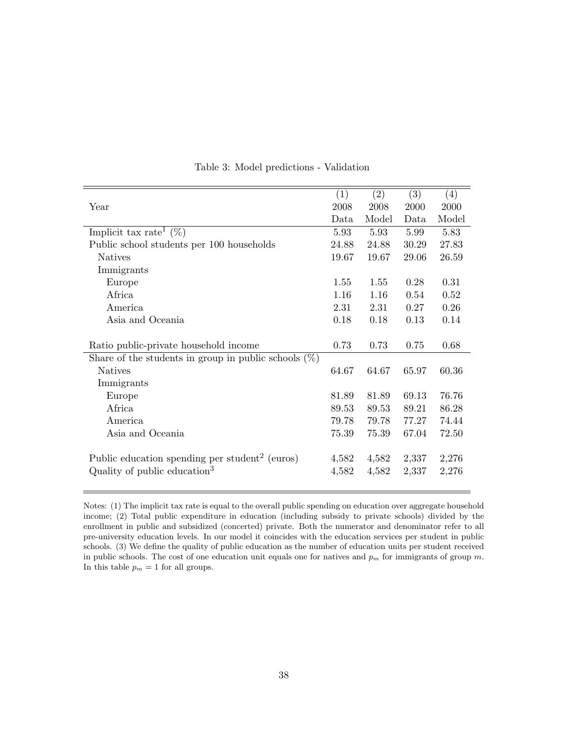<span id="page-40-0"></span>

|                                                            | (1)   | (2)   | (3)   | (4)   |
|------------------------------------------------------------|-------|-------|-------|-------|
| Year                                                       | 2008  | 2008  | 2000  | 2000  |
|                                                            | Data  | Model | Data  | Model |
| Implicit tax rate <sup>1</sup> $(\%)$                      | 5.93  | 5.93  | 5.99  | 5.83  |
| Public school students per 100 households                  | 24.88 | 24.88 | 30.29 | 27.83 |
| <b>Natives</b>                                             | 19.67 | 19.67 | 29.06 | 26.59 |
| Immigrants                                                 |       |       |       |       |
| Europe                                                     | 1.55  | 1.55  | 0.28  | 0.31  |
| Africa                                                     | 1.16  | 1.16  | 0.54  | 0.52  |
| America                                                    | 2.31  | 2.31  | 0.27  | 0.26  |
| Asia and Oceania                                           | 0.18  | 0.18  | 0.13  | 0.14  |
|                                                            |       |       |       |       |
| Ratio public-private household income                      | 0.73  | 0.73  | 0.75  | 0.68  |
| Share of the students in group in public schools $(\%)$    |       |       |       |       |
| <b>Natives</b>                                             | 64.67 | 64.67 | 65.97 | 60.36 |
| Immigrants                                                 |       |       |       |       |
| Europe                                                     | 81.89 | 81.89 | 69.13 | 76.76 |
| Africa                                                     | 89.53 | 89.53 | 89.21 | 86.28 |
| America                                                    | 79.78 | 79.78 | 77.27 | 74.44 |
| Asia and Oceania                                           | 75.39 | 75.39 | 67.04 | 72.50 |
|                                                            |       |       |       |       |
| Public education spending per student <sup>2</sup> (euros) | 4,582 | 4,582 | 2,337 | 2,276 |
| Quality of public education <sup>3</sup>                   | 4,582 | 4,582 | 2,337 | 2,276 |
|                                                            |       |       |       |       |

Table 3: Model predictions - Validation

Notes: (1) The implicit tax rate is equal to the overall public spending on education over aggregate household income; (2) Total public expenditure in education (including subsidy to private schools) divided by the enrollment in public and subsidized (concerted) private. Both the numerator and denominator refer to all pre-university education levels. In our model it coincides with the education services per student in public schools. (3) We define the quality of public education as the number of education units per student received in public schools. The cost of one education unit equals one for natives and  $p_m$  for immigrants of group m. In this table  $p_m = 1$  for all groups.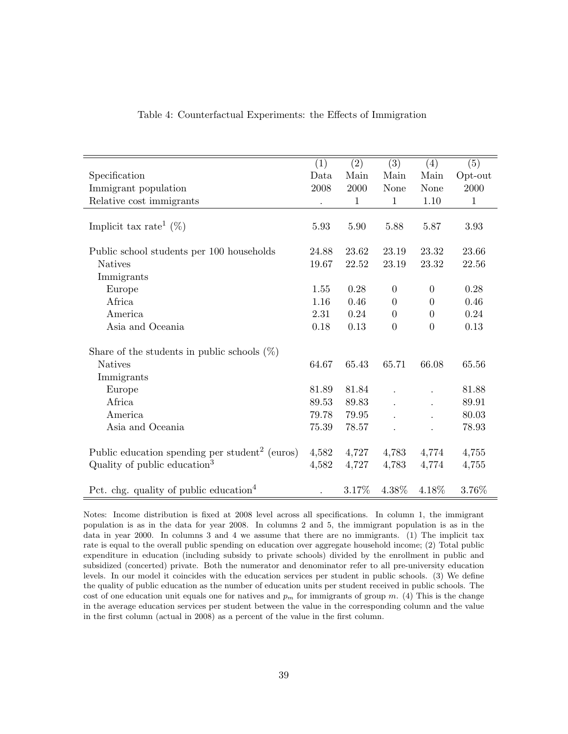<span id="page-41-0"></span>

|                                                            | (1)   | (2)          | (3)              | (4)            | (5)          |
|------------------------------------------------------------|-------|--------------|------------------|----------------|--------------|
| Specification                                              | Data  | Main         | Main             | Main           | Opt-out      |
| Immigrant population                                       | 2008  | 2000         | None             | None           | 2000         |
| Relative cost immigrants                                   |       | $\mathbf{1}$ | $\mathbf{1}$     | 1.10           | $\mathbf{1}$ |
|                                                            |       |              |                  |                |              |
| Implicit tax rate <sup>1</sup> $(\%)$                      | 5.93  | 5.90         | 5.88             | 5.87           | 3.93         |
|                                                            |       |              |                  |                |              |
| Public school students per 100 households                  | 24.88 | 23.62        | 23.19            | 23.32          | 23.66        |
| <b>Natives</b>                                             | 19.67 | 22.52        | 23.19            | 23.32          | 22.56        |
| Immigrants                                                 |       |              |                  |                |              |
| Europe                                                     | 1.55  | 0.28         | $\boldsymbol{0}$ | $\overline{0}$ | 0.28         |
| Africa                                                     | 1.16  | 0.46         | $\overline{0}$   | $\Omega$       | 0.46         |
| America                                                    | 2.31  | 0.24         | $\boldsymbol{0}$ | $\overline{0}$ | 0.24         |
| Asia and Oceania                                           | 0.18  | 0.13         | $\boldsymbol{0}$ | $\overline{0}$ | 0.13         |
| Share of the students in public schools $(\%)$             |       |              |                  |                |              |
| <b>Natives</b>                                             | 64.67 | 65.43        | 65.71            | 66.08          | 65.56        |
| Immigrants                                                 |       |              |                  |                |              |
| Europe                                                     | 81.89 | 81.84        |                  |                | 81.88        |
| Africa                                                     | 89.53 | 89.83        |                  |                | 89.91        |
| America                                                    | 79.78 | 79.95        |                  |                | 80.03        |
| Asia and Oceania                                           | 75.39 | 78.57        |                  |                | 78.93        |
|                                                            |       |              |                  |                |              |
| Public education spending per student <sup>2</sup> (euros) | 4,582 | 4,727        | 4,783            | 4,774          | 4,755        |
| Quality of public education <sup>3</sup>                   | 4,582 | 4,727        | 4,783            | 4,774          | 4,755        |
| Pct. chg. quality of public education <sup>4</sup>         |       | 3.17%        | 4.38%            | 4.18%          | 3.76%        |

#### Table 4: Counterfactual Experiments: the Effects of Immigration

Notes: Income distribution is fixed at 2008 level across all specifications. In column 1, the immigrant population is as in the data for year 2008. In columns 2 and 5, the immigrant population is as in the data in year 2000. In columns 3 and 4 we assume that there are no immigrants. (1) The implicit tax rate is equal to the overall public spending on education over aggregate household income; (2) Total public expenditure in education (including subsidy to private schools) divided by the enrollment in public and subsidized (concerted) private. Both the numerator and denominator refer to all pre-university education levels. In our model it coincides with the education services per student in public schools. (3) We define the quality of public education as the number of education units per student received in public schools. The cost of one education unit equals one for natives and  $p<sub>m</sub>$  for immigrants of group m. (4) This is the change in the average education services per student between the value in the corresponding column and the value in the first column (actual in 2008) as a percent of the value in the first column.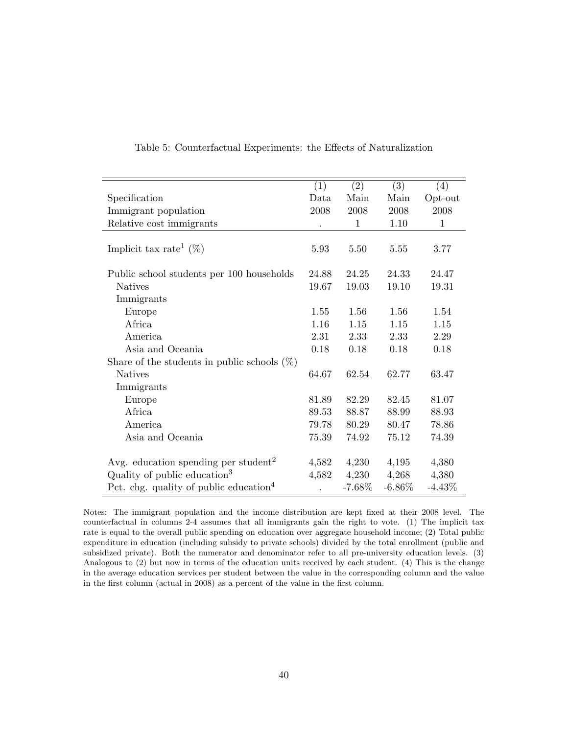|                                                    | (1)   | (2)      | (3)       | (4)          |
|----------------------------------------------------|-------|----------|-----------|--------------|
| Specification                                      | Data  | Main     | Main      | Opt-out      |
| Immigrant population                               | 2008  | 2008     | 2008      | 2008         |
| Relative cost immigrants                           |       | 1        | 1.10      | $\mathbf{1}$ |
|                                                    |       |          |           |              |
| Implicit tax rate <sup>1</sup> $(\%)$              | 5.93  | 5.50     | 5.55      | 3.77         |
|                                                    |       |          |           |              |
| Public school students per 100 households          | 24.88 | 24.25    | 24.33     | 24.47        |
| <b>Natives</b>                                     | 19.67 | 19.03    | 19.10     | 19.31        |
| Immigrants                                         |       |          |           |              |
| Europe                                             | 1.55  | 1.56     | 1.56      | 1.54         |
| Africa                                             | 1.16  | 1.15     | 1.15      | 1.15         |
| America                                            | 2.31  | 2.33     | 2.33      | 2.29         |
| Asia and Oceania                                   | 0.18  | 0.18     | 0.18      | 0.18         |
| Share of the students in public schools $(\%)$     |       |          |           |              |
| <b>Natives</b>                                     | 64.67 | 62.54    | 62.77     | 63.47        |
| Immigrants                                         |       |          |           |              |
| Europe                                             | 81.89 | 82.29    | 82.45     | 81.07        |
| Africa                                             | 89.53 | 88.87    | 88.99     | 88.93        |
| America                                            | 79.78 | 80.29    | 80.47     | 78.86        |
| Asia and Oceania                                   | 75.39 | 74.92    | 75.12     | 74.39        |
|                                                    |       |          |           |              |
| Avg. education spending per student <sup>2</sup>   | 4,582 | 4,230    | 4,195     | 4,380        |
| Quality of public education <sup>3</sup>           | 4,582 | 4,230    | 4,268     | 4,380        |
| Pct. chg. quality of public education <sup>4</sup> |       | $-7.68%$ | $-6.86\%$ | $-4.43%$     |

#### <span id="page-42-0"></span>Table 5: Counterfactual Experiments: the Effects of Naturalization

Notes: The immigrant population and the income distribution are kept fixed at their 2008 level. The counterfactual in columns 2-4 assumes that all immigrants gain the right to vote. (1) The implicit tax rate is equal to the overall public spending on education over aggregate household income; (2) Total public expenditure in education (including subsidy to private schools) divided by the total enrollment (public and subsidized private). Both the numerator and denominator refer to all pre-university education levels. (3) Analogous to (2) but now in terms of the education units received by each student. (4) This is the change in the average education services per student between the value in the corresponding column and the value in the first column (actual in 2008) as a percent of the value in the first column.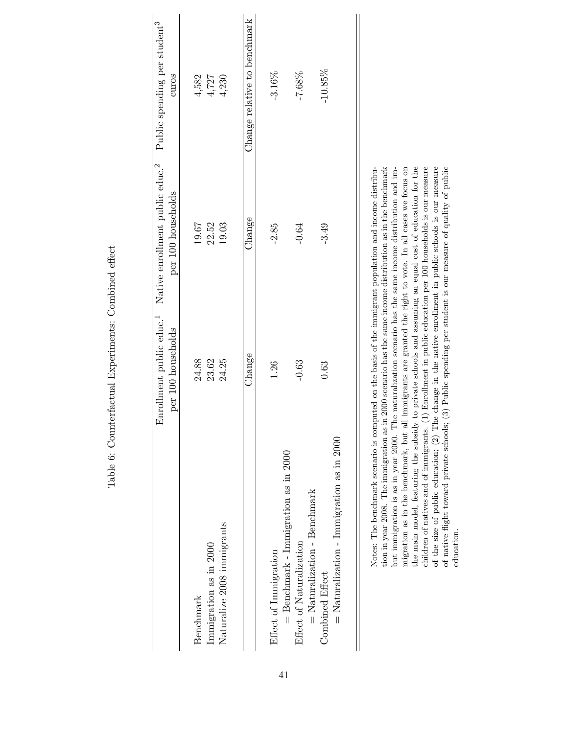|                                                                | Enrollment public educ. <sup>1</sup><br>per 100 households | Native enrollment public educ. <sup>2</sup><br>per 100 households | Public spending per student <sup>3</sup><br>euros |
|----------------------------------------------------------------|------------------------------------------------------------|-------------------------------------------------------------------|---------------------------------------------------|
| Immigration as in 2000<br>Benchmark                            | 24.88<br>23.62                                             | 22.52<br>19.67                                                    | $4,582$<br>$4,727$                                |
| Naturalize 2008 immigrants                                     | 24.25                                                      | 19.03                                                             | 4,230                                             |
|                                                                | Change                                                     | Change                                                            | Change relative to benchmark                      |
| = Benchmark - Immigration as in 2000<br>Effect of Immigration  | 1.26                                                       | $-2.85$                                                           | $-3.16\%$                                         |
| $=$ Naturalization - Benchmark<br>Effect of Naturalization     | $-0.63$                                                    | $-0.64$                                                           | $-7.68%$                                          |
| $=$ Naturalization - Immigration as in 2000<br>Combined Effect | 0.63                                                       | $-3.49$                                                           | $-10.85\%$                                        |

<span id="page-43-0"></span>Table 6: Counterfactual Experiments: Combined effect Table 6: Counterfactual Experiments: Combined effect

tion in year 2008. The immigration as in 2000 scenario has the same income distribution as in the benchmark but immigration is as in year 2000. The naturalization scenario has the same income distribution and immigration as in the benchmark, but all immigrants are granted the right to vote. In all cases we focus on the main model, featuring the subsidy to private schools and assuming an equal cost of education for the children of natives and of immigrants. (1) Enrollment in public education per 100 households is our measure of the size of public education; (2) The change in the native enrollment in public schools is our measure of native flight toward private schools; (3) Public spending per student is our measure of quality of public Notes: The benchmark scenario is computed on the basis of the immigrant population and income distribution in year 2008. The immigration as in 2000 scenario has the same income distribution as in the benchmark migration as in the benchmark, but all immigrants are granted the right to vote. In all cases we focus on the main model, featuring the subsidy to private schools and assuming an equal cost of education for the children of natives and of immigrants. (1) Enrollment in public education per 100 households is our measure of the size of public education; (2) The change in the native enrollment in public schools is our measure of native flight toward private schools; (3) Public spending per student is our measure of quality of public Notes: The benchmark scenario is computed on the basis of the immigrant population and income distribubut immigration is as in year 2000. The naturalization scenario has the same income distribution and imeducation.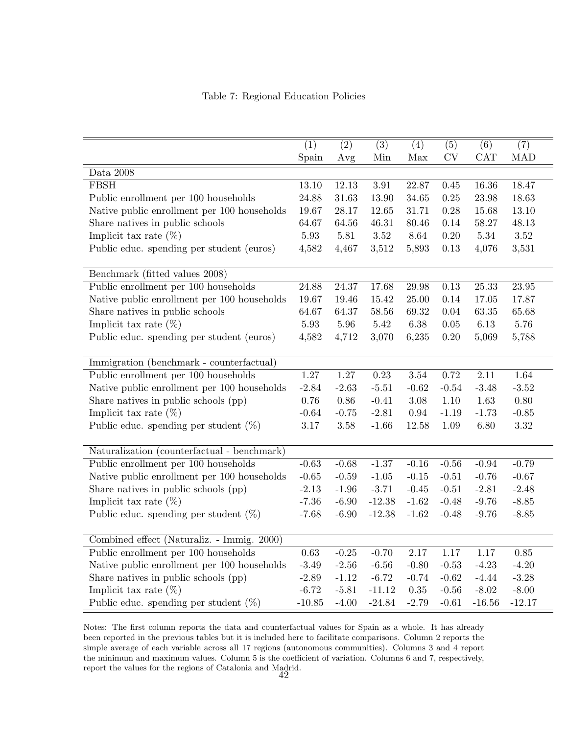Table 7: Regional Education Policies

<span id="page-44-0"></span>

|                                             | (1)       | (2)      | (3)      | (4)      | (5)       | (6)        | (7)        |
|---------------------------------------------|-----------|----------|----------|----------|-----------|------------|------------|
|                                             | Spain     | Avg      | Min      | Max      | <b>CV</b> | <b>CAT</b> | <b>MAD</b> |
| Data 2008                                   |           |          |          |          |           |            |            |
| <b>FBSH</b>                                 | 13.10     | 12.13    | 3.91     | 22.87    | 0.45      | $16.36\,$  | 18.47      |
| Public enrollment per 100 households        | 24.88     | 31.63    | 13.90    | 34.65    | 0.25      | $23.98\,$  | 18.63      |
| Native public enrollment per 100 households | 19.67     | 28.17    | 12.65    | 31.71    | 0.28      | 15.68      | 13.10      |
| Share natives in public schools             | 64.67     | 64.56    | 46.31    | 80.46    | 0.14      | 58.27      | 48.13      |
| Implicit tax rate $(\%)$                    | $5.93\,$  | 5.81     | 3.52     | 8.64     | $0.20\,$  | $5.34\,$   | 3.52       |
| Public educ. spending per student (euros)   | 4,582     | 4,467    | 3,512    | 5,893    | 0.13      | 4,076      | 3,531      |
|                                             |           |          |          |          |           |            |            |
| Benchmark (fitted values 2008)              |           |          |          |          |           |            |            |
| Public enrollment per 100 households        | $24.88\,$ | 24.37    | 17.68    | 29.98    | 0.13      | 25.33      | $23.95\,$  |
| Native public enrollment per 100 households | 19.67     | 19.46    | 15.42    | 25.00    | 0.14      | 17.05      | 17.87      |
| Share natives in public schools             | 64.67     | 64.37    | 58.56    | 69.32    | 0.04      | 63.35      | 65.68      |
| Implicit tax rate $(\%)$                    | 5.93      | 5.96     | 5.42     | 6.38     | 0.05      | 6.13       | 5.76       |
| Public educ. spending per student (euros)   | 4,582     | 4,712    | 3,070    | 6,235    | 0.20      | 5,069      | 5,788      |
|                                             |           |          |          |          |           |            |            |
| Immigration (benchmark - counterfactual)    |           |          |          |          |           |            |            |
| Public enrollment per 100 households        | $1.27\,$  | 1.27     | 0.23     | $3.54\,$ | 0.72      | 2.11       | 1.64       |
| Native public enrollment per 100 households | $-2.84$   | $-2.63$  | $-5.51$  | $-0.62$  | $-0.54$   | $-3.48$    | $-3.52$    |
| Share natives in public schools (pp)        | 0.76      | $0.86\,$ | $-0.41$  | $3.08\,$ | 1.10      | 1.63       | $0.80\,$   |
| Implicit tax rate $(\%)$                    | $-0.64$   | $-0.75$  | $-2.81$  | 0.94     | $-1.19$   | $-1.73$    | $-0.85$    |
| Public educ. spending per student $(\%)$    | $3.17\,$  | $3.58\,$ | $-1.66$  | 12.58    | 1.09      | 6.80       | $3.32\,$   |
|                                             |           |          |          |          |           |            |            |
| Naturalization (counterfactual - benchmark) |           |          |          |          |           |            |            |
| Public enrollment per 100 households        | $-0.63$   | $-0.68$  | $-1.37$  | $-0.16$  | $-0.56$   | $-0.94$    | $-0.79$    |
| Native public enrollment per 100 households | $-0.65$   | $-0.59$  | $-1.05$  | $-0.15$  | $-0.51$   | $-0.76$    | $-0.67$    |
| Share natives in public schools (pp)        | $-2.13$   | $-1.96$  | $-3.71$  | $-0.45$  | $-0.51$   | $-2.81$    | $-2.48$    |
| Implicit tax rate $(\%)$                    | $-7.36$   | $-6.90$  | $-12.38$ | $-1.62$  | $-0.48$   | $-9.76$    | $-8.85$    |
| Public educ. spending per student $(\%)$    | $-7.68$   | $-6.90$  | $-12.38$ | $-1.62$  | $-0.48$   | $-9.76$    | $-8.85$    |
| Combined effect (Naturaliz. - Immig. 2000)  |           |          |          |          |           |            |            |
| Public enrollment per 100 households        | 0.63      | $-0.25$  | $-0.70$  | 2.17     | 1.17      | 1.17       | 0.85       |
| Native public enrollment per 100 households | $-3.49$   | $-2.56$  | $-6.56$  | $-0.80$  | $-0.53$   | $-4.23$    | $-4.20$    |
| Share natives in public schools (pp)        | $-2.89$   | $-1.12$  | $-6.72$  | $-0.74$  | $-0.62$   | $-4.44$    | $-3.28$    |
| Implicit tax rate $(\%)$                    | $-6.72$   | $-5.81$  | $-11.12$ | $0.35\,$ | $-0.56$   | $-8.02$    | $-8.00$    |
|                                             |           |          |          |          |           |            |            |
| Public educ. spending per student $(\%)$    | $-10.85$  | $-4.00$  | $-24.84$ | $-2.79$  | $-0.61$   | $-16.56$   | $-12.17$   |

Notes: The first column reports the data and counterfactual values for Spain as a whole. It has already been reported in the previous tables but it is included here to facilitate comparisons. Column 2 reports the simple average of each variable across all 17 regions (autonomous communities). Columns 3 and 4 report the minimum and maximum values. Column 5 is the coefficient of variation. Columns 6 and 7, respectively, report the values for the regions of Catalonia and Madrid. 42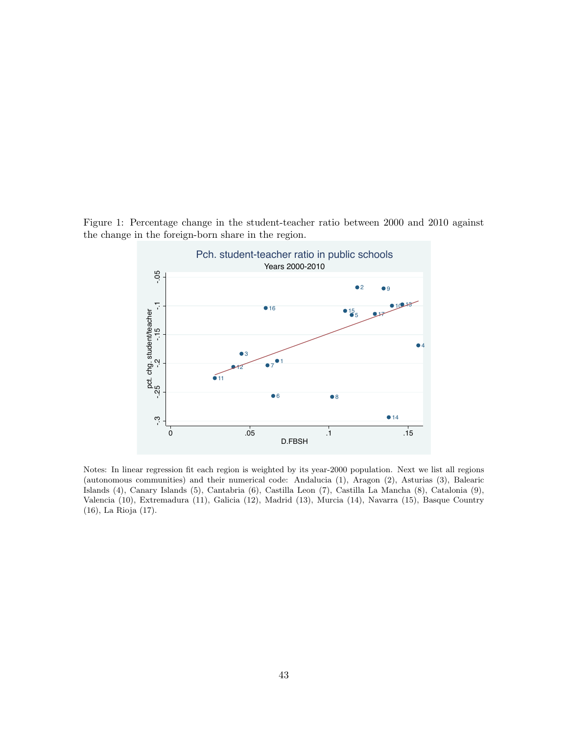<span id="page-45-0"></span>Figure 1: Percentage change in the student-teacher ratio between 2000 and 2010 against the change in the foreign-born share in the region.



Notes: In linear regression fit each region is weighted by its year-2000 population. Next we list all regions (autonomous communities) and their numerical code: Andalucia (1), Aragon (2), Asturias (3), Balearic Islands (4), Canary Islands (5), Cantabria (6), Castilla Leon (7), Castilla La Mancha (8), Catalonia (9), Valencia (10), Extremadura (11), Galicia (12), Madrid (13), Murcia (14), Navarra (15), Basque Country (16), La Rioja (17).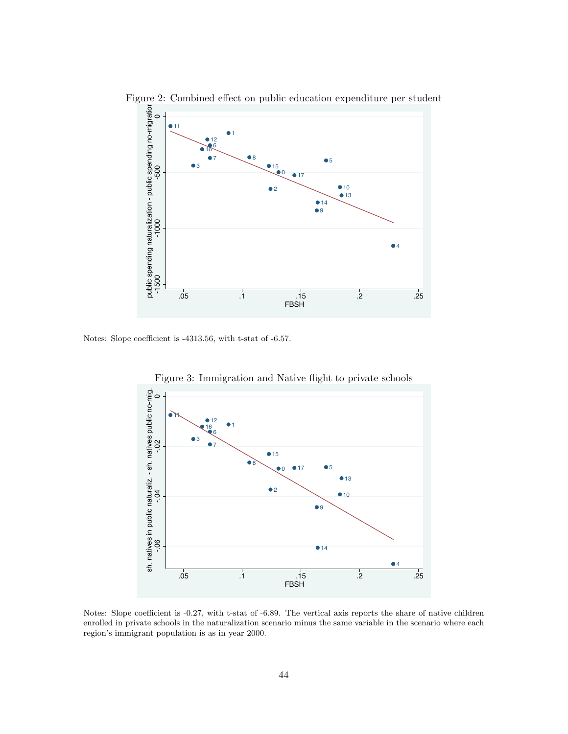

<span id="page-46-0"></span>Figure 2: Combined effect on public education expenditure per student

<span id="page-46-1"></span>Notes: Slope coefficient is -4313.56, with t-stat of -6.57.



Figure 3: Immigration and Native flight to private schools

Notes: Slope coefficient is -0.27, with t-stat of -6.89. The vertical axis reports the share of native children enrolled in private schools in the naturalization scenario minus the same variable in the scenario where each region's immigrant population is as in year 2000.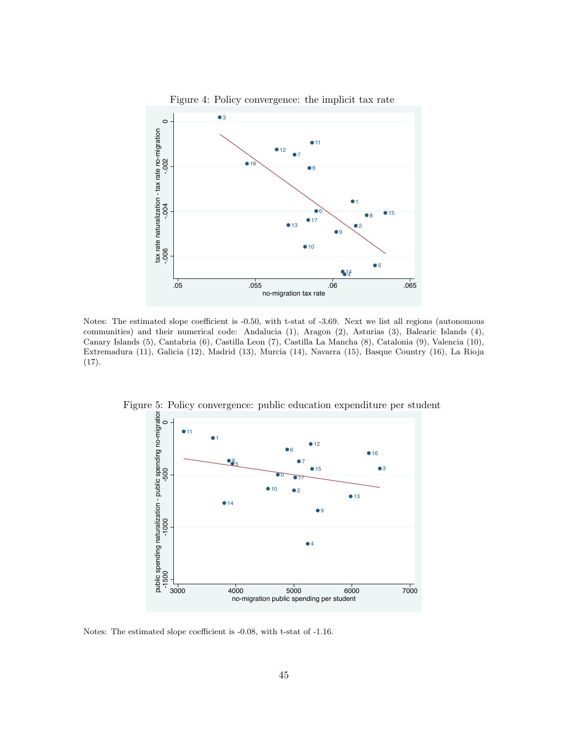<span id="page-47-0"></span>

Notes: The estimated slope coefficient is -0.50, with t-stat of -3.69. Next we list all regions (autonomous communities) and their numerical code: Andalucia (1), Aragon (2), Asturias (3), Balearic Islands (4), Canary Islands (5), Cantabria (6), Castilla Leon (7), Castilla La Mancha (8), Catalonia (9), Valencia (10), Extremadura (11), Galicia (12), Madrid (13), Murcia (14), Navarra (15), Basque Country (16), La Rioja (17).



<span id="page-47-1"></span>Figure 5: Policy convergence: public education expenditure per student

Notes: The estimated slope coefficient is -0.08, with t-stat of -1.16.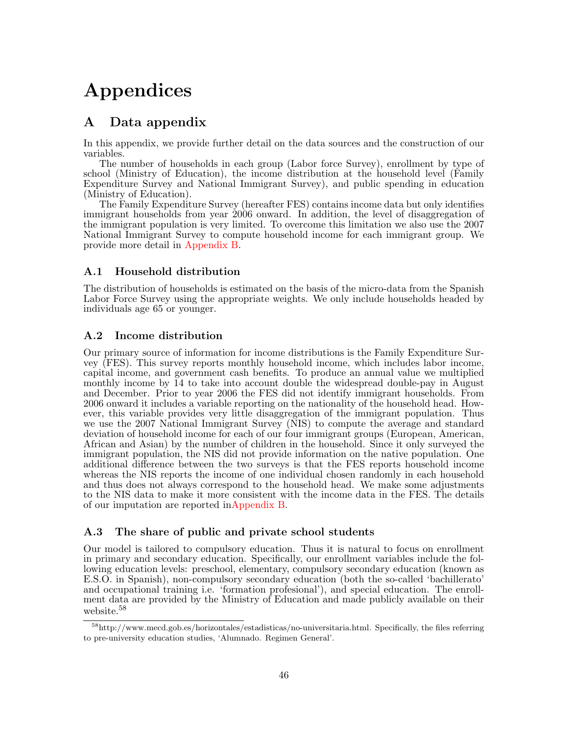## Appendices

## <span id="page-48-0"></span>A Data appendix

In this appendix, we provide further detail on the data sources and the construction of our variables.

The number of households in each group (Labor force Survey), enrollment by type of school (Ministry of Education), the income distribution at the household level (Family Expenditure Survey and National Immigrant Survey), and public spending in education (Ministry of Education).

The Family Expenditure Survey (hereafter FES) contains income data but only identifies immigrant households from year 2006 onward. In addition, the level of disaggregation of the immigrant population is very limited. To overcome this limitation we also use the 2007 National Immigrant Survey to compute household income for each immigrant group. We provide more detail in [Appendix B.](#page-49-0)

## A.1 Household distribution

The distribution of households is estimated on the basis of the micro-data from the Spanish Labor Force Survey using the appropriate weights. We only include households headed by individuals age 65 or younger.

## A.2 Income distribution

Our primary source of information for income distributions is the Family Expenditure Survey (FES). This survey reports monthly household income, which includes labor income, capital income, and government cash benefits. To produce an annual value we multiplied monthly income by 14 to take into account double the widespread double-pay in August and December. Prior to year 2006 the FES did not identify immigrant households. From 2006 onward it includes a variable reporting on the nationality of the household head. However, this variable provides very little disaggregation of the immigrant population. Thus we use the 2007 National Immigrant Survey (NIS) to compute the average and standard deviation of household income for each of our four immigrant groups (European, American, African and Asian) by the number of children in the household. Since it only surveyed the immigrant population, the NIS did not provide information on the native population. One additional difference between the two surveys is that the FES reports household income whereas the NIS reports the income of one individual chosen randomly in each household and thus does not always correspond to the household head. We make some adjustments to the NIS data to make it more consistent with the income data in the FES. The details of our imputation are reported i[nAppendix B.](#page-49-0)

#### <span id="page-48-1"></span>A.3 The share of public and private school students

Our model is tailored to compulsory education. Thus it is natural to focus on enrollment in primary and secondary education. Specifically, our enrollment variables include the following education levels: preschool, elementary, compulsory secondary education (known as E.S.O. in Spanish), non-compulsory secondary education (both the so-called 'bachillerato' and occupational training i.e. 'formation profesional'), and special education. The enrollment data are provided by the Ministry of Education and made publicly available on their website.<sup>58</sup>

<sup>58</sup>http://www.mecd.gob.es/horizontales/estadisticas/no-universitaria.html. Specifically, the files referring to pre-university education studies, 'Alumnado. Regimen General'.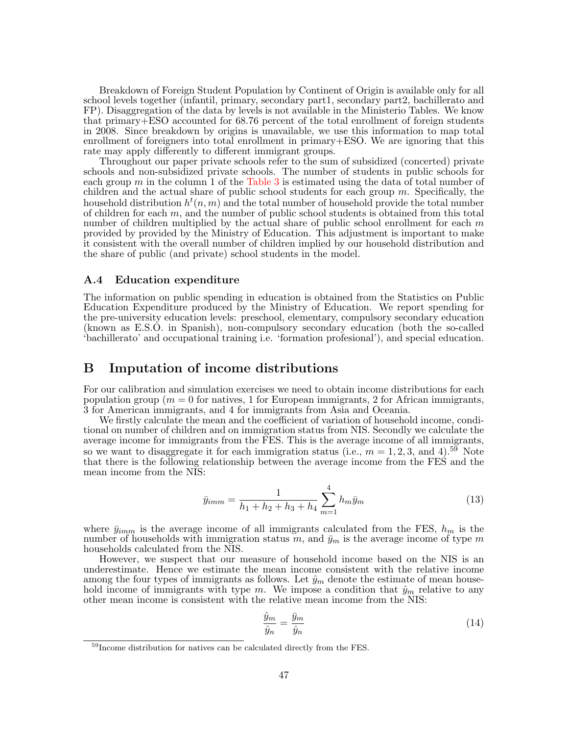Breakdown of Foreign Student Population by Continent of Origin is available only for all school levels together (infantil, primary, secondary part1, secondary part2, bachillerato and FP). Disaggregation of the data by levels is not available in the Ministerio Tables. We know that primary+ESO accounted for 68.76 percent of the total enrollment of foreign students in 2008. Since breakdown by origins is unavailable, we use this information to map total enrollment of foreigners into total enrollment in primary+ESO. We are ignoring that this rate may apply differently to different immigrant groups.

Throughout our paper private schools refer to the sum of subsidized (concerted) private schools and non-subsidized private schools. The number of students in public schools for each group  $m$  in the column 1 of the [Table 3](#page-40-0) is estimated using the data of total number of children and the actual share of public school students for each group  $m$ . Specifically, the household distribution  $h^t(n,m)$  and the total number of household provide the total number of children for each  $m$ , and the number of public school students is obtained from this total number of children multiplied by the actual share of public school enrollment for each  $m$ provided by provided by the Ministry of Education. This adjustment is important to make it consistent with the overall number of children implied by our household distribution and the share of public (and private) school students in the model.

#### A.4 Education expenditure

The information on public spending in education is obtained from the Statistics on Public Education Expenditure produced by the Ministry of Education. We report spending for the pre-university education levels: preschool, elementary, compulsory secondary education (known as E.S.O. in Spanish), non-compulsory secondary education (both the so-called 'bachillerato' and occupational training i.e. 'formation profesional'), and special education.

## <span id="page-49-0"></span>B Imputation of income distributions

For our calibration and simulation exercises we need to obtain income distributions for each population group ( $m = 0$  for natives, 1 for European immigrants, 2 for African immigrants, 3 for American immigrants, and 4 for immigrants from Asia and Oceania.

We firstly calculate the mean and the coefficient of variation of household income, conditional on number of children and on immigration status from NIS. Secondly we calculate the average income for immigrants from the FES. This is the average income of all immigrants, so we want to disaggregate it for each immigration status (i.e.,  $m = 1, 2, 3$ , and 4).<sup>59</sup> Note that there is the following relationship between the average income from the FES and the mean income from the NIS:

$$
\bar{y}_{imm} = \frac{1}{h_1 + h_2 + h_3 + h_4} \sum_{m=1}^{4} h_m \bar{y}_m \tag{13}
$$

where  $\bar{y}_{imm}$  is the average income of all immigrants calculated from the FES,  $h_m$  is the number of households with immigration status m, and  $\bar{y}_m$  is the average income of type m households calculated from the NIS.

However, we suspect that our measure of household income based on the NIS is an underestimate. Hence we estimate the mean income consistent with the relative income among the four types of immigrants as follows. Let  $\hat{y}_m$  denote the estimate of mean household income of immigrants with type m. We impose a condition that  $\hat{y}_m$  relative to any other mean income is consistent with the relative mean income from the NIS:

$$
\frac{\hat{y}_m}{\hat{y}_n} = \frac{\bar{y}_m}{\hat{y}_n} \tag{14}
$$

<sup>59</sup>Income distribution for natives can be calculated directly from the FES.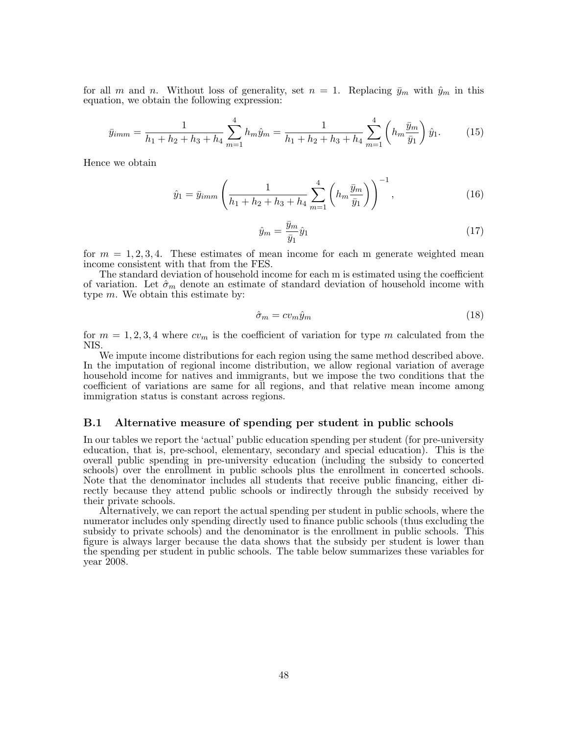for all m and n. Without loss of generality, set  $n = 1$ . Replacing  $\bar{y}_m$  with  $\hat{y}_m$  in this equation, we obtain the following expression:

$$
\bar{y}_{imm} = \frac{1}{h_1 + h_2 + h_3 + h_4} \sum_{m=1}^{4} h_m \hat{y}_m = \frac{1}{h_1 + h_2 + h_3 + h_4} \sum_{m=1}^{4} \left( h_m \frac{\bar{y}_m}{\bar{y}_1} \right) \hat{y}_1.
$$
 (15)

Hence we obtain

$$
\hat{y}_1 = \bar{y}_{imm} \left( \frac{1}{h_1 + h_2 + h_3 + h_4} \sum_{m=1}^4 \left( h_m \frac{\bar{y}_m}{\bar{y}_1} \right) \right)^{-1}, \tag{16}
$$

$$
\hat{y}_m = \frac{\bar{y}_m}{\bar{y}_1} \hat{y}_1 \tag{17}
$$

for  $m = 1, 2, 3, 4$ . These estimates of mean income for each m generate weighted mean income consistent with that from the FES.

The standard deviation of household income for each m is estimated using the coefficient of variation. Let  $\hat{\sigma}_m$  denote an estimate of standard deviation of household income with type  $m$ . We obtain this estimate by:

$$
\hat{\sigma}_m = c v_m \hat{y}_m \tag{18}
$$

for  $m = 1, 2, 3, 4$  where  $cv_m$  is the coefficient of variation for type m calculated from the NIS.

We impute income distributions for each region using the same method described above. In the imputation of regional income distribution, we allow regional variation of average household income for natives and immigrants, but we impose the two conditions that the coefficient of variations are same for all regions, and that relative mean income among immigration status is constant across regions.

#### B.1 Alternative measure of spending per student in public schools

In our tables we report the 'actual' public education spending per student (for pre-university education, that is, pre-school, elementary, secondary and special education). This is the overall public spending in pre-university education (including the subsidy to concerted schools) over the enrollment in public schools plus the enrollment in concerted schools. Note that the denominator includes all students that receive public financing, either directly because they attend public schools or indirectly through the subsidy received by their private schools.

Alternatively, we can report the actual spending per student in public schools, where the numerator includes only spending directly used to finance public schools (thus excluding the subsidy to private schools) and the denominator is the enrollment in public schools. This figure is always larger because the data shows that the subsidy per student is lower than the spending per student in public schools. The table below summarizes these variables for year 2008.